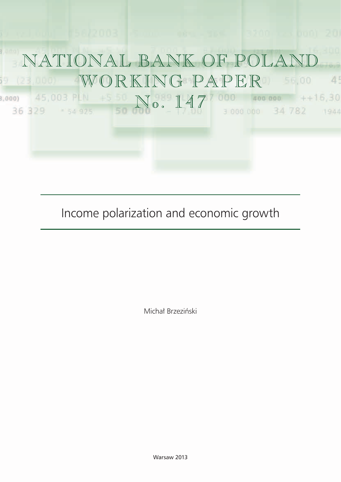

# Income polarization and economic growth

Michał Brzeziński

Warsaw 2013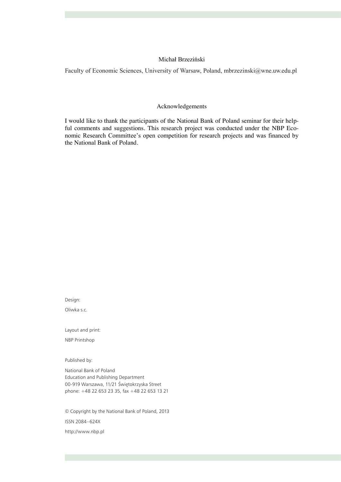#### Michał Brzeziński

Faculty of Economic Sciences, University of Warsaw, Poland, mbrzezinski@wne.uw.edu.pl Faculty of Economic Sciences, University of Warsaw, Poland, mbrzezinski@wne.uw.edu.pl

#### Acknowledgements

I would like to thank the participants of the National Bank of Poland seminar for their helpful comments and suggestions. This research project was conducted under the NBP Economic Research Committee's open competition for research projects and was financed by the National Bank of Poland.

Design:

Oliwka s.c.

Layout and print:

NBP Printshop

Published by:

National Bank of Poland Education and Publishing Department 00-919 Warszawa, 11/21 Świętokrzyska Street phone: +48 22 653 23 35, fax +48 22 653 13 21

© Copyright by the National Bank of Poland, 2013 ISSN 2084–624X http://www.nbp.pl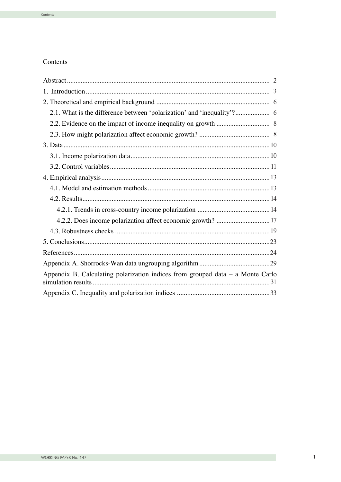## Contents

| 4.2.2. Does income polarization affect economic growth?  17                      |
|----------------------------------------------------------------------------------|
|                                                                                  |
|                                                                                  |
|                                                                                  |
|                                                                                  |
| Appendix B. Calculating polarization indices from grouped data $-$ a Monte Carlo |
|                                                                                  |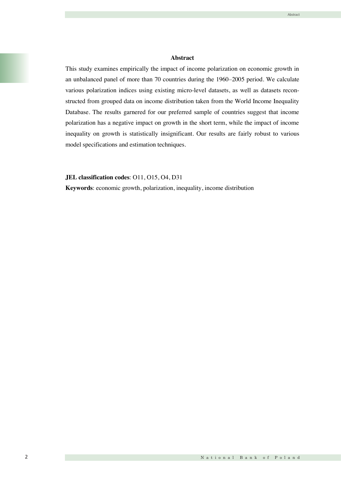#### **Abstract**

This study examines empirically the impact of income polarization on economic growth in an unbalanced panel of more than 70 countries during the 1960–2005 period. We calculate various polarization indices using existing micro-level datasets, as well as datasets reconstructed from grouped data on income distribution taken from the World Income Inequality Database. The results garnered for our preferred sample of countries suggest that income polarization has a negative impact on growth in the short term, while the impact of income inequality on growth is statistically insignificant. Our results are fairly robust to various model specifications and estimation techniques.

#### **JEL classification codes**: O11, O15, O4, D31

**Keywords**: economic growth, polarization, inequality, income distribution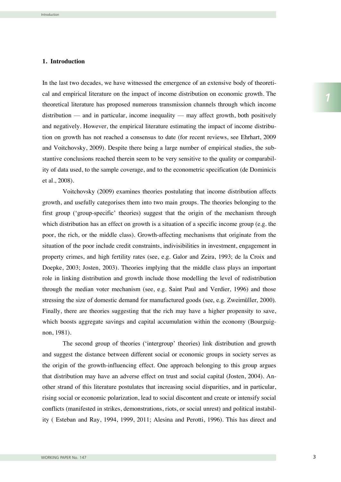#### **1. Introduction**

In the last two decades, we have witnessed the emergence of an extensive body of theoretical and empirical literature on the impact of income distribution on economic growth. The theoretical literature has proposed numerous transmission channels through which income distribution — and in particular, income inequality — may affect growth, both positively and negatively. However, the empirical literature estimating the impact of income distribution on growth has not reached a consensus to date (for recent reviews, see Ehrhart, 2009 and Voitchovsky, 2009). Despite there being a large number of empirical studies, the substantive conclusions reached therein seem to be very sensitive to the quality or comparability of data used, to the sample coverage, and to the econometric specification (de Dominicis et al., 2008).

Voitchovsky (2009) examines theories postulating that income distribution affects growth, and usefully categorises them into two main groups. The theories belonging to the first group ('group-specific' theories) suggest that the origin of the mechanism through which distribution has an effect on growth is a situation of a specific income group (e.g. the poor, the rich, or the middle class). Growth-affecting mechanisms that originate from the situation of the poor include credit constraints, indivisibilities in investment, engagement in property crimes, and high fertility rates (see, e.g. Galor and Zeira, 1993; de la Croix and Doepke, 2003; Josten, 2003). Theories implying that the middle class plays an important role in linking distribution and growth include those modelling the level of redistribution through the median voter mechanism (see, e.g. Saint Paul and Verdier, 1996) and those stressing the size of domestic demand for manufactured goods (see, e.g. Zweimüller, 2000). Finally, there are theories suggesting that the rich may have a higher propensity to save, which boosts aggregate savings and capital accumulation within the economy (Bourguignon, 1981).

The second group of theories ('intergroup' theories) link distribution and growth and suggest the distance between different social or economic groups in society serves as the origin of the growth-influencing effect. One approach belonging to this group argues that distribution may have an adverse effect on trust and social capital (Josten, 2004). Another strand of this literature postulates that increasing social disparities, and in particular, rising social or economic polarization, lead to social discontent and create or intensify social conflicts (manifested in strikes, demonstrations, riots, or social unrest) and political instability ( Esteban and Ray, 1994, 1999, 2011; Alesina and Perotti, 1996). This has direct and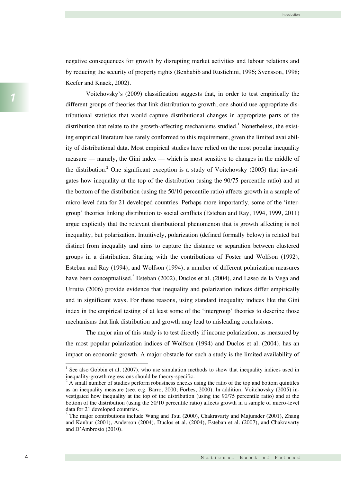negative consequences for growth by disrupting market activities and labour relations and by reducing the security of property rights (Benhabib and Rustichini, 1996; Svensson, 1998; Keefer and Knack, 2002).

Voitchovsky's (2009) classification suggests that, in order to test empirically the different groups of theories that link distribution to growth, one should use appropriate distributional statistics that would capture distributional changes in appropriate parts of the distribution that relate to the growth-affecting mechanisms studied.<sup>1</sup> Nonetheless, the existing empirical literature has rarely conformed to this requirement, given the limited availability of distributional data. Most empirical studies have relied on the most popular inequality measure — namely, the Gini index — which is most sensitive to changes in the middle of the distribution.<sup>2</sup> One significant exception is a study of Voitchovsky (2005) that investigates how inequality at the top of the distribution (using the 90/75 percentile ratio) and at the bottom of the distribution (using the 50/10 percentile ratio) affects growth in a sample of micro-level data for 21 developed countries. Perhaps more importantly, some of the 'intergroup' theories linking distribution to social conflicts (Esteban and Ray, 1994, 1999, 2011) argue explicitly that the relevant distributional phenomenon that is growth affecting is not inequality, but polarization. Intuitively, polarization (defined formally below) is related but distinct from inequality and aims to capture the distance or separation between clustered groups in a distribution. Starting with the contributions of Foster and Wolfson (1992), Esteban and Ray (1994), and Wolfson (1994), a number of different polarization measures have been conceptualised.<sup>3</sup> Esteban (2002), Duclos et al. (2004), and Lasso de la Vega and Urrutia (2006) provide evidence that inequality and polarization indices differ empirically and in significant ways. For these reasons, using standard inequality indices like the Gini index in the empirical testing of at least some of the 'intergroup' theories to describe those mechanisms that link distribution and growth may lead to misleading conclusions.

The major aim of this study is to test directly if income polarization, as measured by the most popular polarization indices of Wolfson (1994) and Duclos et al. (2004), has an impact on economic growth. A major obstacle for such a study is the limited availability of

<sup>&</sup>lt;sup>1</sup> See also Gobbin et al. (2007), who use simulation methods to show that inequality indices used in inequality-growth regressions should be theory-specific.

 $\alpha$ <sup>2</sup> A small number of studies perform robustness checks using the ratio of the top and bottom quintiles as an inequality measure (see, e.g. Barro, 2000; Forbes, 2000). In addition, Voitchovsky (2005) investigated how inequality at the top of the distribution (using the 90/75 percentile ratio) and at the bottom of the distribution (using the 50/10 percentile ratio) affects growth in a sample of micro-level data for 21 developed countries.

<sup>&</sup>lt;sup>3</sup> The major contributions include Wang and Tsui (2000), Chakravarty and Majumder (2001), Zhang and Kanbur (2001), Anderson (2004), Duclos et al. (2004), Esteban et al. (2007), and Chakravarty and D'Ambrosio (2010).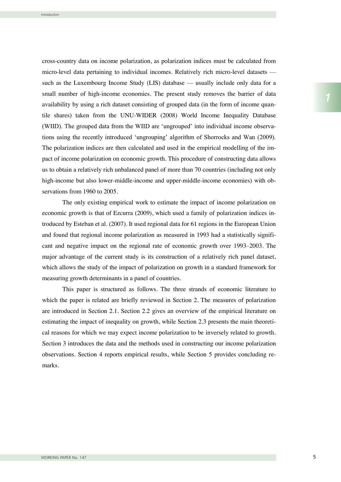cross-country data on income polarization, as polarization indices must be calculated from micro-level data pertaining to individual incomes. Relatively rich micro-level datasets such as the Luxembourg Income Study (LIS) database — usually include only data for a small number of high-income economies. The present study removes the barrier of data availability by using a rich dataset consisting of grouped data (in the form of income quantile shares) taken from the UNU-WIDER (2008) World Income Inequality Database (WIID). The grouped data from the WIID are 'ungrouped' into individual income observations using the recently introduced 'ungrouping' algorithm of Shorrocks and Wan (2009). The polarization indices are then calculated and used in the empirical modelling of the impact of income polarization on economic growth. This procedure of constructing data allows us to obtain a relatively rich unbalanced panel of more than 70 countries (including not only high-income but also lower-middle-income and upper-middle-income economies) with observations from 1960 to 2005.

The only existing empirical work to estimate the impact of income polarization on economic growth is that of Ezcurra (2009), which used a family of polarization indices introduced by Esteban et al. (2007). It used regional data for 61 regions in the European Union and found that regional income polarization as measured in 1993 had a statistically significant and negative impact on the regional rate of economic growth over 1993–2003. The major advantage of the current study is its construction of a relatively rich panel dataset, which allows the study of the impact of polarization on growth in a standard framework for measuring growth determinants in a panel of countries.

This paper is structured as follows. The three strands of economic literature to which the paper is related are briefly reviewed in Section 2. The measures of polarization are introduced in Section 2.1. Section 2.2 gives an overview of the empirical literature on estimating the impact of inequality on growth, while Section 2.3 presents the main theoretical reasons for which we may expect income polarization to be inversely related to growth. Section 3 introduces the data and the methods used in constructing our income polarization observations. Section 4 reports empirical results, while Section 5 provides concluding remarks.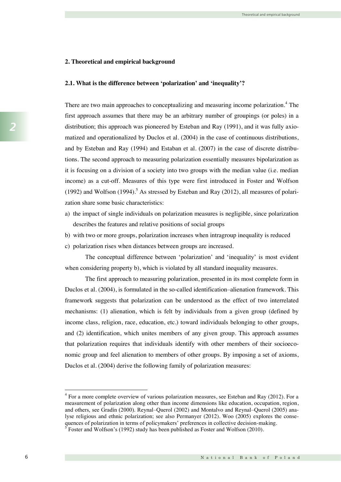#### **2. Theoretical and empirical background**

#### **2.1. What is the difference between 'polarization' and 'inequality'?**

There are two main approaches to conceptualizing and measuring income polarization.<sup>4</sup> The first approach assumes that there may be an arbitrary number of groupings (or poles) in a distribution; this approach was pioneered by Esteban and Ray (1991), and it was fully axiomatized and operationalized by Duclos et al. (2004) in the case of continuous distributions, and by Esteban and Ray (1994) and Estaban et al. (2007) in the case of discrete distributions. The second approach to measuring polarization essentially measures bipolarization as it is focusing on a division of a society into two groups with the median value (i.e. median income) as a cut-off. Measures of this type were first introduced in Foster and Wolfson (1992) and Wolfson (1994).<sup>5</sup> As stressed by Esteban and Ray (2012), all measures of polarization share some basic characteristics:

- a) the impact of single individuals on polarization measures is negligible, since polarization describes the features and relative positions of social groups
- b) with two or more groups, polarization increases when intragroup inequality is reduced
- c) polarization rises when distances between groups are increased.

The conceptual difference between 'polarization' and 'inequality' is most evident when considering property b), which is violated by all standard inequality measures.

The first approach to measuring polarization, presented in its most complete form in Duclos et al. (2004), is formulated in the so-called identification–alienation framework. This framework suggests that polarization can be understood as the effect of two interrelated mechanisms: (1) alienation, which is felt by individuals from a given group (defined by income class, religion, race, education, etc.) toward individuals belonging to other groups, and (2) identification, which unites members of any given group. This approach assumes that polarization requires that individuals identify with other members of their socioeconomic group and feel alienation to members of other groups. By imposing a set of axioms, Duclos et al. (2004) derive the following family of polarization measures:

 $4$  For a more complete overview of various polarization measures, see Esteban and Ray (2012). For a measurement of polarization along other than income dimensions like education, occupation, region, and others, see Gradín (2000). Reynal–Querol (2002) and Montalvo and Reynal–Querol (2005) analyse religious and ethnic polarization; see also Permanyer (2012). Woo (2005) explores the consequences of polarization in terms of policymakers' preferences in collective decision-making.  $\overline{S}$  Foster and Wolfson's (1992) study has been published as Foster and Wolfson (2010).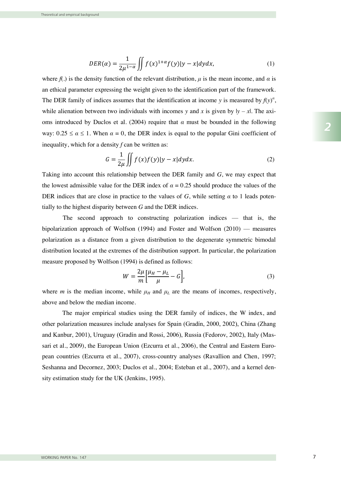$$
DER(\alpha) = \frac{1}{2\mu^{1-\alpha}} \iint f(x)^{1+\alpha} f(y) |y - x| dy dx, \tag{1}
$$

where  $f(.)$  is the density function of the relevant distribution,  $\mu$  is the mean income, and  $\alpha$  is an ethical parameter expressing the weight given to the identification part of the framework. The DER family of indices assumes that the identification at income *y* is measured by  $f(y)^a$ , while alienation between two individuals with incomes *y* and *x* is given by  $|y - x|$ . The axioms introduced by Duclos et al. (2004) require that  $\alpha$  must be bounded in the following way:  $0.25 \le \alpha \le 1$ . When  $\alpha = 0$ , the DER index is equal to the popular Gini coefficient of inequality, which for a density *f* can be written as:

$$
G = \frac{1}{2\mu} \iint f(x)f(y)|y - x| dy dx.
$$
 (2)

Taking into account this relationship between the DER family and *G*, we may expect that the lowest admissible value for the DER index of  $\alpha = 0.25$  should produce the values of the DER indices that are close in practice to the values of *G*, while setting  $\alpha$  to 1 leads potentially to the highest disparity between *G* and the DER indices.

The second approach to constructing polarization indices — that is, the bipolarization approach of Wolfson (1994) and Foster and Wolfson (2010) — measures polarization as a distance from a given distribution to the degenerate symmetric bimodal distribution located at the extremes of the distribution support. In particular, the polarization measure proposed by Wolfson (1994) is defined as follows:

$$
W = \frac{2\mu}{m} \left[ \frac{\mu_H - \mu_L}{\mu} - G \right],\tag{3}
$$

where *m* is the median income, while  $\mu_H$  and  $\mu_L$  are the means of incomes, respectively, above and below the median income.

The major empirical studies using the DER family of indices, the W index, and other polarization measures include analyses for Spain (Gradín, 2000, 2002), China (Zhang and Kanbur, 2001), Uruguay (Gradín and Rossi, 2006), Russia (Fedorov, 2002), Italy (Massari et al., 2009), the European Union (Ezcurra et al., 2006), the Central and Eastern European countries (Ezcurra et al., 2007), cross-country analyses (Ravallion and Chen, 1997; Seshanna and Decornez, 2003; Duclos et al., 2004; Esteban et al., 2007), and a kernel density estimation study for the UK (Jenkins, 1995).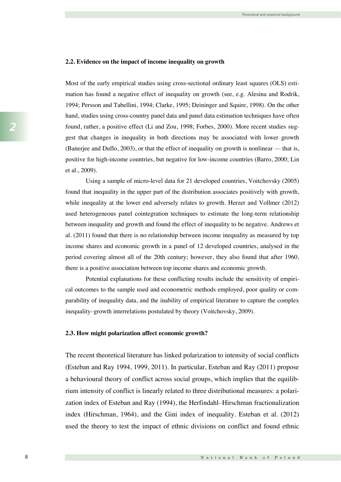#### **2.2. Evidence on the impact of income inequality on growth**

Most of the early empirical studies using cross-sectional ordinary least squares (OLS) estimation has found a negative effect of inequality on growth (see, e.g. Alesina and Rodrik, 1994; Persson and Tabellini, 1994; Clarke, 1995; Deininger and Squire, 1998). On the other hand, studies using cross-country panel data and panel data estimation techniques have often found, rather, a positive effect (Li and Zou, 1998; Forbes, 2000). More recent studies suggest that changes in inequality in both directions may be associated with lower growth (Banerjee and Duflo, 2003), or that the effect of inequality on growth is nonlinear — that is, positive for high-income countries, but negative for low-income countries (Barro, 2000; Lin et al., 2009).

Using a sample of micro-level data for 21 developed countries, Voitchovsky (2005) found that inequality in the upper part of the distribution associates positively with growth, while inequality at the lower end adversely relates to growth. Herzer and Vollmer (2012) used heterogeneous panel cointegration techniques to estimate the long-term relationship between inequality and growth and found the effect of inequality to be negative. Andrews et al. (2011) found that there is no relationship between income inequality as measured by top income shares and economic growth in a panel of 12 developed countries, analysed in the period covering almost all of the 20th century; however, they also found that after 1960, there is a positive association between top income shares and economic growth.

Potential explanations for these conflicting results include the sensitivity of empirical outcomes to the sample used and econometric methods employed, poor quality or comparability of inequality data, and the inability of empirical literature to capture the complex inequality–growth interrelations postulated by theory (Voitchovsky, 2009).

#### **2.3. How might polarization affect economic growth?**

The recent theoretical literature has linked polarization to intensity of social conflicts (Esteban and Ray 1994, 1999, 2011). In particular, Esteban and Ray (2011) propose a behavioural theory of conflict across social groups, which implies that the equilibrium intensity of conflict is linearly related to three distributional measures: a polarization index of Esteban and Ray (1994), the Herfindahl–Hirschman fractionalization index (Hirschman, 1964), and the Gini index of inequality. Esteban et al. (2012) used the theory to test the impact of ethnic divisions on conflict and found ethnic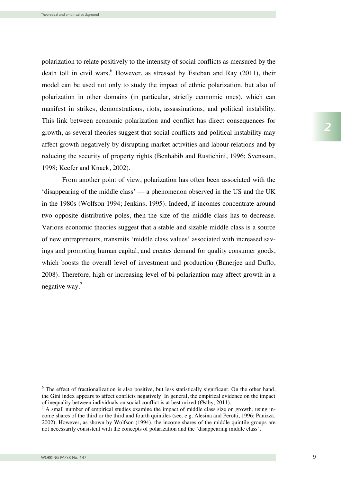polarization to relate positively to the intensity of social conflicts as measured by the death toll in civil wars.<sup>6</sup> However, as stressed by Esteban and Ray (2011), their model can be used not only to study the impact of ethnic polarization, but also of polarization in other domains (in particular, strictly economic ones), which can manifest in strikes, demonstrations, riots, assassinations, and political instability. This link between economic polarization and conflict has direct consequences for growth, as several theories suggest that social conflicts and political instability may affect growth negatively by disrupting market activities and labour relations and by reducing the security of property rights (Benhabib and Rustichini, 1996; Svensson, 1998; Keefer and Knack, 2002).

From another point of view, polarization has often been associated with the 'disappearing of the middle class' — a phenomenon observed in the US and the UK in the 1980s (Wolfson 1994; Jenkins, 1995). Indeed, if incomes concentrate around two opposite distributive poles, then the size of the middle class has to decrease. Various economic theories suggest that a stable and sizable middle class is a source of new entrepreneurs, transmits 'middle class values' associated with increased savings and promoting human capital, and creates demand for quality consumer goods, which boosts the overall level of investment and production (Banerjee and Duflo, 2008). Therefore, high or increasing level of bi-polarization may affect growth in a negative way.<sup>7</sup>

<sup>&</sup>lt;sup>6</sup> The effect of fractionalization is also positive, but less statistically significant. On the other hand, the Gini index appears to affect conflicts negatively. In general, the empirical evidence on the impact of inequality between individuals on social conflict is at best mixed (Østby, 2011).

 $\alpha$  A small number of empirical studies examine the impact of middle class size on growth, using income shares of the third or the third and fourth quintiles (see, e.g. Alesina and Perotti, 1996; Panizza, 2002). However, as shown by Wolfson (1994), the income shares of the middle quintile groups are not necessarily consistent with the concepts of polarization and the 'disappearing middle class'.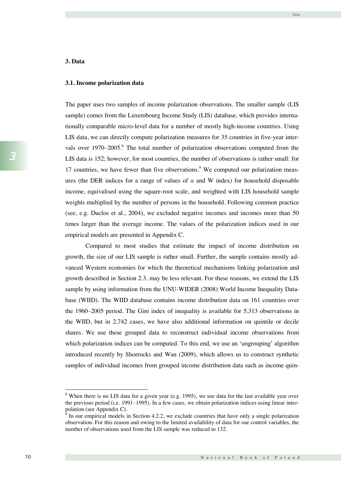### **3. Data**

#### **3.1. Income polarization data**

The paper uses two samples of income polarization observations. The smaller sample (LIS sample) comes from the Luxembourg Income Study (LIS) database, which provides internationally comparable micro-level data for a number of mostly high-income countries. Using LIS data, we can directly compute polarization measures for 35 countries in five-year intervals over 1970–2005.<sup>8</sup> The total number of polarization observations computed from the LIS data is 152; however, for most countries, the number of observations is rather small: for 17 countries, we have fewer than five observations.<sup>9</sup> We computed our polarization measures (the DER indices for a range of values of  $\alpha$  and W index) for household disposable income, equivalised using the square-root scale, and weighted with LIS household sample weights multiplied by the number of persons in the household. Following common practice (see, e.g. Duclos et al., 2004), we excluded negative incomes and incomes more than 50 times larger than the average income. The values of the polarization indices used in our empirical models are presented in Appendix C.

Compared to most studies that estimate the impact of income distribution on growth, the size of our LIS sample is rather small. Further, the sample contains mostly advanced Western economies for which the theoretical mechanisms linking polarization and growth described in Section 2.3. may be less relevant. For these reasons, we extend the LIS sample by using information from the UNU-WIDER (2008) World Income Inequality Database (WIID). The WIID database contains income distribution data on 161 countries over the 1960–2005 period. The Gini index of inequality is available for 5,313 observations in the WIID, but in 2,742 cases, we have also additional information on quintile or decile shares. We use these grouped data to reconstruct individual income observations from which polarization indices can be computed. To this end, we use an 'ungrouping' algorithm introduced recently by Shorrocks and Wan (2009), which allows us to construct synthetic samples of individual incomes from grouped income distribution data such as income quin-

<sup>&</sup>lt;sup>8</sup> When there is no LIS data for a given year (e.g. 1995), we use data for the last available year over the previous period (i.e. 1991–1995). In a few cases, we obtain polarization indices using linear interpolation (see Appendix C).

In our empirical models in Section 4.2.2, we exclude countries that have only a single polarization observation. For this reason and owing to the limited availability of data for our control variables, the number of observations used from the LIS sample was reduced to 132.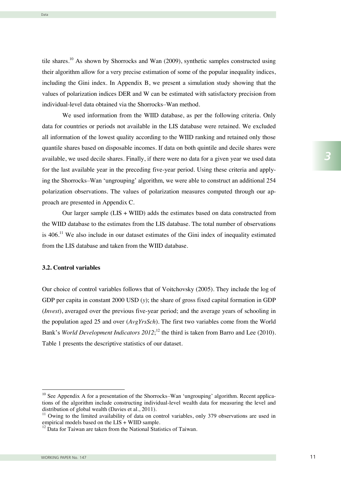tile shares.<sup>10</sup> As shown by Shorrocks and Wan (2009), synthetic samples constructed using their algorithm allow for a very precise estimation of some of the popular inequality indices, including the Gini index. In Appendix B, we present a simulation study showing that the values of polarization indices DER and W can be estimated with satisfactory precision from individual-level data obtained via the Shorrocks–Wan method.

We used information from the WIID database, as per the following criteria. Only data for countries or periods not available in the LIS database were retained. We excluded all information of the lowest quality according to the WIID ranking and retained only those quantile shares based on disposable incomes. If data on both quintile and decile shares were available, we used decile shares. Finally, if there were no data for a given year we used data for the last available year in the preceding five-year period. Using these criteria and applying the Shorrocks–Wan 'ungrouping' algorithm, we were able to construct an additional 254 polarization observations. The values of polarization measures computed through our approach are presented in Appendix C.

Our larger sample  $(LIS + WIID)$  adds the estimates based on data constructed from the WIID database to the estimates from the LIS database. The total number of observations is  $406<sup>11</sup>$  We also include in our dataset estimates of the Gini index of inequality estimated from the LIS database and taken from the WIID database.

#### **3.2. Control variables**

Our choice of control variables follows that of Voitchovsky (2005). They include the log of GDP per capita in constant 2000 USD (*y*); the share of gross fixed capital formation in GDP (*Invest*), averaged over the previous five-year period; and the average years of schooling in the population aged 25 and over (*AvgYrsSch*). The first two variables come from the World Bank's *World Development Indicators* 2012;<sup>12</sup> the third is taken from Barro and Lee (2010). Table 1 presents the descriptive statistics of our dataset.

<sup>&</sup>lt;sup>10</sup> See Appendix A for a presentation of the Shorrocks–Wan 'ungrouping' algorithm. Recent applications of the algorithm include constructing individual-level wealth data for measuring the level and distribution of global wealth (Davies et al., 2011).<br><sup>11</sup> Owing to the limited availability of data on control variables, only 379 observations are used in

empirical models based on the LIS + WIID sample.<br><sup>12</sup> Data for Taiwan are taken from the National Statistics of Taiwan.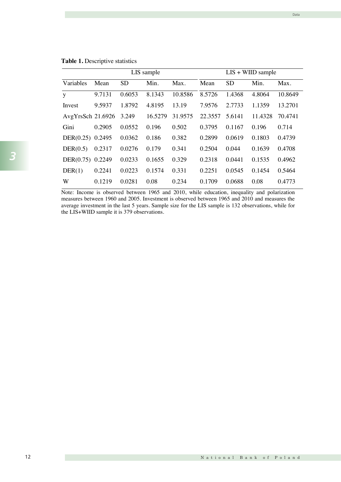Data

**Table 1.** Descriptive statistics

|                     |        |           | LIS sample |         | $LIS + WIID$ sample |           |         |         |  |
|---------------------|--------|-----------|------------|---------|---------------------|-----------|---------|---------|--|
| Variables           | Mean   | <b>SD</b> | Min.       | Max.    | Mean                | <b>SD</b> | Min.    | Max.    |  |
| y                   | 9.7131 | 0.6053    | 8.1343     | 10.8586 | 8.5726              | 1.4368    | 4.8064  | 10.8649 |  |
| Invest              | 9.5937 | 1.8792    | 4.8195     | 13.19   | 7.9576              | 2.7733    | 1.1359  | 13.2701 |  |
| AvgYrsSch 21.6926   |        | 3.249     | 16.5279    | 31.9575 | 22.3557             | 5.6141    | 11.4328 | 70.4741 |  |
| Gini                | 0.2905 | 0.0552    | 0.196      | 0.502   | 0.3795              | 0.1167    | 0.196   | 0.714   |  |
| DER $(0.25)$ 0.2495 |        | 0.0362    | 0.186      | 0.382   | 0.2899              | 0.0619    | 0.1803  | 0.4739  |  |
| DER(0.5)            | 0.2317 | 0.0276    | 0.179      | 0.341   | 0.2504              | 0.044     | 0.1639  | 0.4708  |  |
| DER(0.75) 0.2249    |        | 0.0233    | 0.1655     | 0.329   | 0.2318              | 0.0441    | 0.1535  | 0.4962  |  |
| DER(1)              | 0.2241 | 0.0223    | 0.1574     | 0.331   | 0.2251              | 0.0545    | 0.1454  | 0.5464  |  |
| W                   | 0.1219 | 0.0281    | 0.08       | 0.234   | 0.1709              | 0.0688    | 0.08    | 0.4773  |  |

Note: Income is observed between 1965 and 2010, while education, inequality and polarization measures between 1960 and 2005. Investment is observed between 1965 and 2010 and measures the average investment in the last 5 years. Sample size for the LIS sample is 132 observations, while for the LIS+WIID sample it is 379 observations.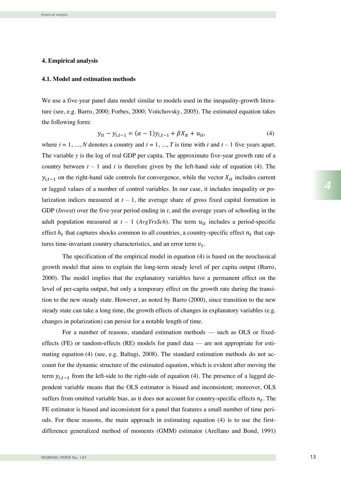#### **4. Empirical analysis**

#### **4.1. Model and estimation methods**

We use a five-year panel data model similar to models used in the inequality-growth literature (see, e.g. Barro, 2000; Forbes, 2000; Voitchovsky, 2005). The estimated equation takes the following form:

Note: Income is observed between 1965 and 2010, while education, inequality and polarization

$$
y_{it} - y_{i,t-1} = (\alpha - 1)y_{i,t-1} + \beta X_{it} + u_{it},
$$
\n(4)

where  $i = 1, ..., N$  denotes a country and  $t = 1, ..., T$  is time with  $t$  and  $t - 1$  five years apart. The variable *y* is the log of real GDP per capita. The approximate five-year growth rate of a country between  $t - 1$  and  $t$  is therefore given by the left-hand side of equation (4). The  $y_{i,t-1}$  on the right-hand side controls for convergence, while the vector  $X_{it}$  includes current or lagged values of a number of control variables. In our case, it includes inequality or polarization indices measured at  $t - 1$ , the average share of gross fixed capital formation in GDP (*Invest*) over the five-year period ending in *t*, and the average years of schooling in the adult population measured at  $t - 1$  ( $AvgYrsSch$ ). The term  $u_{it}$  includes a period-specific effect  $h_t$  that captures shocks common to all countries, a country-specific effect  $n_t$  that captures time-invariant country characteristics, and an error term  $v_t$ .

growth model that aims to explain the long-term steady level of per capita output (Barro, The specification of the empirical model in equation (4) is based on the neoclassical 2000). The model implies that the explanatory variables have a permanent effect on the level of per-capita output, but only a temporary effect on the growth rate during the transition to the new steady state. However, as noted by Barro (2000), since transition to the new steady state can take a long time, the growth effects of changes in explanatory variables (e.g. changes in polarization) can persist for a notable length of time.

For a number of reasons, standard estimation methods — such as OLS or fixedeffects (FE) or random-effects (RE) models for panel data — are not appropriate for estimating equation (4) (see, e.g. Baltagi, 2008). The standard estimation methods do not account for the dynamic structure of the estimated equation, which is evident after moving the term  $y_{i,t-1}$  from the left-side to the right-side of equation (4). The presence of a lagged dependent variable means that the OLS estimator is biased and inconsistent; moreover, OLS suffers from omitted variable bias, as it does not account for country-specific effects  $n_t$ . The FE estimator is biased and inconsistent for a panel that features a small number of time periods. For these reasons, the main approach in estimating equation (4) is to use the firstdifference generalized method of moments (GMM) estimator (Arellano and Bond, 1991)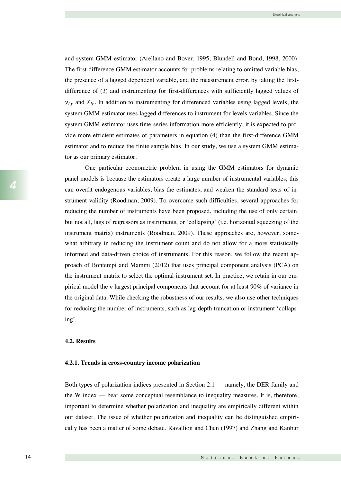and system GMM estimator (Arellano and Bover, 1995; Blundell and Bond, 1998, 2000). The first-difference GMM estimator accounts for problems relating to omitted variable bias, the presence of a lagged dependent variable, and the measurement error, by taking the firstdifference of (3) and instrumenting for first-differences with sufficiently lagged values of  $y_{i,t}$  and  $X_{it}$ . In addition to instrumenting for differenced variables using lagged levels, the system GMM estimator uses lagged differences to instrument for levels variables. Since the system GMM estimator uses time-series information more efficiently, it is expected to provide more efficient estimates of parameters in equation (4) than the first-difference GMM estimator and to reduce the finite sample bias. In our study, we use a system GMM estimator as our primary estimator.

what arbitrary in reducing the instrument count and do not allow for a more statistically informed and data-driven choice of instruments. For this reason, we follow the recent approach of Bontempi and Mammi (2012) that uses principal component analysis (PCA) on 13 the instrument matrix to select the optimal instrument set. In practice, we retain in our empirical model the *n* largest principal components that account for at least 90% of variance in the original data. While checking the robustness of our results, we also use other techniques for reducing the number of instruments, such as lag-depth truncation or instrument 'collapsing'. One particular econometric problem in using the GMM estimators for dynamic panel models is because the estimators create a large number of instrumental variables; this can overfit endogenous variables, bias the estimates, and weaken the standard tests of instrument validity (Roodman, 2009). To overcome such difficulties, several approaches for reducing the number of instruments have been proposed, including the use of only certain, but not all, lags of regressors as instruments, or 'collapsing' (i.e. horizontal squeezing of the instrument matrix) instruments (Roodman, 2009). These approaches are, however, some-

#### **4.2. Results**

#### **4.2.1. Trends in cross-country income polarization**

Both types of polarization indices presented in Section 2.1 — namely, the DER family and the W index — bear some conceptual resemblance to inequality measures. It is, therefore, important to determine whether polarization and inequality are empirically different within our dataset. The issue of whether polarization and inequality can be distinguished empirically has been a matter of some debate. Ravallion and Chen (1997) and Zhang and Kanbur

*4*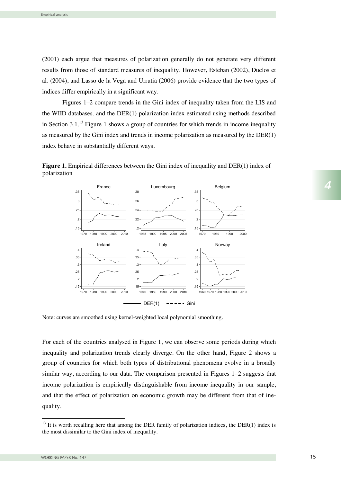(2001) each argue that measures of polarization generally do not generate very different results from those of standard measures of inequality. However, Esteban (2002), Duclos et al. (2004), and Lasso de la Vega and Urrutia (2006) provide evidence that the two types of indices differ empirically in a significant way.  $\mathcal{L}$  and arbitrary in reducing to  $\mathcal{L}$  for an dominant generated for a more statistically for a more statistically informed and data-driven choice of instruments. For this reason, we follow the recent  $(2, 1, 2)$ , we follow the recent approximation of  $\mathbb{R}^n$  $t_{\text{max}}$  is the optimal instrument set. In proposition, we retain in  $\mathbf{r}_j$ .

Figures 1–2 compare trends in the Gini index of inequality taken from the LIS and the WIID databases, and the DER(1) polarization index estimated using methods described in Section 3.1.<sup>13</sup> Figure 1 shows a group of countries for which trends in income inequality as measured by the Gini index and trends in income polarization as measured by the DER(1) index behave in substantially different ways. 1970 1980 1990 2000 2010 1960 1970 1980 1990 2000 2010 for portion on  $\epsilon$  reducing the number of instruments of instruments or instruments instruments insequently  $t_{\rm max}$  and  $t_{\rm max}$  and  $t_{\rm max}$  robustness of  $t_{\rm max}$  and  $t_{\rm max}$  also use other techniques of  $t_{\rm max}$ ing'.

**Figure 1.** Empirical differences between the Gini index of inequality and DER(1) index of polarization **Figure 2.** Similarities between the Gini index of inequality and DER(1) index of polarizar igt **4.2. Results** 



Note: curves are smoothed using kernel-weighted local polynomial smoothing.

Germany

For each of the countries analysed in Figure 1, we can observe some periods during which  $\ddot{\phantom{2}}$ and that the effect of polarization on economic growth may be different from that of ineincome polarization is empirically distinguishable from income inequality in our sample,  $\mathbb{R}^2$ similar way, according to our data. The comparison presented in Figures 1-2 suggests that  $\mathfrak{ou}$ Switzerland  $\ddot{\phantom{1}}$  $\mathop{\rm tr}\nolimits$ inequality and polarization trends clearly diverge. On the other hand, Figure 2 shows a group of countries for which both types of distributional phenomena evolve in a broadly quality. index behavior and comments analysed in 1 gard

In our data, the empirical relationship between other polarization measures (i.e.

<sup>.26</sup> the most dissimilar to the Gini index of inequality. 1 r 11) <sup>13</sup> It is worth recalling here that among the DER family of polarization indices, the DER(1) index is the most discimiler to the Gini index of incouplity.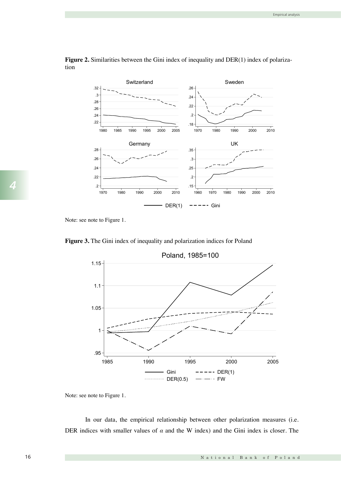

**Figure 2.** Similarities between the Gini index of inequality and DER(1) index of polarization group of countries for which both types of distributional phenomena evolve in a broadly phenomena evolve in a broadly  $\mathcal{L}$ 

Note: see note to Figure 1.





Note: see note to Figure 1.

In our data, the empirical relationship between other polarization measures (i.e. DER indices with smaller values of  $\alpha$  and the W index) and the Gini index is closer. The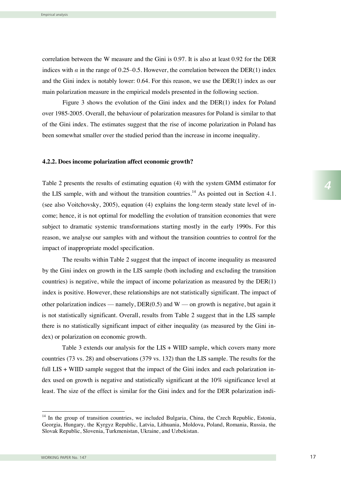correlation between the W measure and the Gini is 0.97. It is also at least 0.92 for the DER indices with  $\alpha$  in the range of 0.25–0.5. However, the correlation between the DER(1) index and the Gini index is notably lower:  $0.64$ . For this reason, we use the DER(1) index as our main polarization measure in the empirical models presented in the following section.  $m$  contribution  $\alpha$  in the random *yt*-1 -0.0235 -0.0303 -0.0106 -0.0201 -0.0762 -0.0538 -0.0617 -0.0384 main polarization measure in the empirical models presented in the following section.  $T_{\text{max}}$  is the results of  $T_{\text{max}}$  for  $T_{\text{max}}$  of  $T_{\text{max}}$  and  $T_{\text{max}}$  as  $T_{\text{max}}$  for  $T_{\text{max}}$  for  $T_{\text{max}}$  for  $T_{\text{max}}$  for  $T_{\text{max}}$  for  $T_{\text{max}}$  for  $T_{\text{max}}$  for  $T_{\text{max}}$  for  $T_{\text{max}}$  for  $T_{\text{max}}$  for

Figure 3 shows the evolution of the Gini index and the DER(1) index for Poland over 1985-2005. Overall, the behaviour of polarization measures for Poland is similar to that of the Gini index. The estimates suggest that the rise of income polarization in Poland has been somewhat smaller over the studied period than the increase in income inequality. Invest*<sup>t</sup>* 0.0138\*\* 0.0123\* 0.0135\*\* 0.0142\*\* 0.0085 0.0118\*\* 0.0116\*\* 0.0124\* Figure 3 shows the evolution of the Gini index and the  $DER(1)$  index for Poland over 1985-2005. Overall, the behaviour of polarization measures for Poland is similar to that of the Only much. The estimates suggest that the rise of meome polarization in I oland has been bornewhat britaner over the buddled period than the mercure in meonie mequanty.

#### **Figure 3.** The Gini index of inequality and polarization indices for Poland **4.2.2. Does income polarization affect economic growth?** W*t*-1 -0.1848 -0.3156  $\mathbf{m}$  (c)  $\mathbf{c}$  such that  $\mathbf{c}$

impact of inappropriate model specification. subject to dramatic systemic transformations starting mostly in the early 1990s. For this (see also Voitchovsky, 2005), equation (4) explains the long-term steady state level of in-Table 2 presents the results of estimating equation (4) with the system GMM estimator for the LIS sample, with and without the transition countries.<sup>14</sup> As pointed out in Section 4.1. come; hence, it is not optimal for modelling the evolution of transition economies that were reason, we analyse our samples with and without the transition countries to control for the ARGE 2 problems the results of estimating equation (1) what are system critical estimator re- $\mathbf{H}$ (bee also  $\tau$  order  $\sigma$  is  $\gamma$ , where  $\sigma$  is  $\gamma$  ), equal on  $\tau$  ) exprains the folly define seed  $\gamma$  state for  $\sigma$ . joint validity of instruments.  $T_{\text{e}}$ kla $\Omega$  muses that the second (1) (2) (3) (4) (5) (6) (7) (8) (0.0388) (0.0464) (0.0516) (0.0363) (0.1586) (0.0905) (0.1039) (0.1042) (see also Voitchovsky, 2005), equation (4) explains the long-term steady state level of in- $(0.064)$  (0.0054) (0.0054) (0.0055) (0.0055) (0.0055) (0.0055) (0.0055) (0.0055) (0.0055) (0.0055) (0.0055) (0.0055) (0.0055) (0.0055) (0.0055) (0.0055) (0.0055) (0.0055) (0.0055) (0.0055) (0.0055) (0.0055) (0.0055) (0.0 come; hence, it is not optimal for modelling the evolution of transition economies that were  $(0.0140)$  (0.0140) (0.0140) (0.0143) (0.0153) (0.0174) (0.0174) (0.0174) (0.01714) (0.0174) (0.0174) (0.0170) subject to dramatic systemic transformations starting mostly reason, we anaryse our samples with and without the transition countri mpact of mappropriate moder specification.

is not statistically significant. Overall, results from Table 2 suggest that in the LIS sample by the Gini index on growth in the LIS sample (both including and excluding the transition 1985 1990 1995 2000 2005 countries (columns 5-8) Gini DER(1) index is positive. However, these relationships are not statistically significant. The impact of countries) is negative, while the impact of income polarization as measured by the  $DER(1)$ index is positive. However, these relationships are not statistically significant. The impact of other polarization indices — namely  $DER(0.5)$  and  $W$  — on growth is negative but again it % other polarization indices — namely,  $DER(0.5)$  and  $W$  — on growth is negative, but again it<br>is not etatistically significant. Overall, results from Table 2 support that in the LIS sample.  $\overline{\phantom{a}}$ there is no statistically significant impact of either inequality (as measured by the Gini index) or polarization on economic growth. The results within Table 2 suggest that the impact of income inequality as measured The results whilm Tuble 2 suggest that the impute of meome mequality as inclusive *N* 132 132 132 132 116 116 116 116 Instruments 40 40 41 40 39 39 39 39 index is positive. However, these relationships are not statistically significant. The impact o other polarization indices — namely,  $DER(0.5)$  and W — on growth is negative, but again it there is no statistically significant impact of either inequality (as measured by the Gini inof instruments was chosen using PCA (see the main text). Hansen denotes *p*-value of Hansen test of

dex used on growth is negative and statistically significant at the 10% significance level at  $(1 \cdot 6 \cdot 4 \cdot 1)$  (1.1894) (1.1894) (1.1994) Lable 5 extends our analysis for the LIS + WILD sample, which covers in  $(270 \text{ yr} \cdot 122)$  then the LIS semple. The result countries (73 vs. 28) and observations (379 vs. 132) than the LIS sample. The results for the  $\alpha$  of the Gini index and each nolarization in-*N* 132 132 132 132 116 116 116 116  $\frac{1}{2}$  40  $\frac{1}{2}$  40  $\frac{1}{2}$  40  $\frac{1}{2}$  40  $\frac{1}{2}$  40  $\frac{1}{2}$ least. The size of the effect is similar for the Gini index and for the DER polarization indi-Table 3 extends our analysis for the  $LIS + WIID$  sample, which covers many more full LIS + WIID sample suggest that the impact of the Gini index and each polarization in-

Note: The dependent variable is *yt*, where *t* – (*t* – 1) is a 5-year period. \* p<0.10, \*\* p<0.05, \*\*\*  $\frac{14}{14}$  In the group of transition countries, we included Bulgaria, China, the Czech Republic, Estonia, Georgia, Hungary, the Kyrgyz Republic, Latvia, Lithuania, Moldova, Poland, Romania, Russia, the Slovak Republic, Slovenia, Turkmenistan, Ukraine, and Uzbekistan.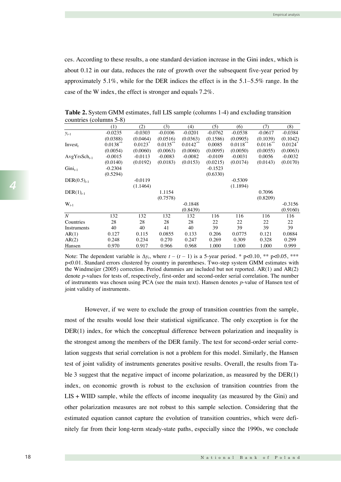ces. According to these results, a one standard deviation increase in the Gini index, which is about 0.12 in our data, reduces the rate of growth over the subsequent five-year period by approximately 5.1%, while for the DER indices the effect is in the 5.1–5.5% range. In the case of the W index, the effect is stronger and equals  $7.2\%$ .

|                   | (1)         | (2)                   | (3)         | (4)        | (5)       | (6)         | (7)        | (8)       |
|-------------------|-------------|-----------------------|-------------|------------|-----------|-------------|------------|-----------|
| $y_{t-1}$         | $-0.0235$   | $-0.0303$             | $-0.0106$   | $-0.0201$  | $-0.0762$ | $-0.0538$   | $-0.0617$  | $-0.0384$ |
|                   | (0.0388)    | (0.0464)              | (0.0516)    | (0.0363)   | (0.1586)  | (0.0905)    | (0.1039)   | (0.1042)  |
| Invest,           | $0.0138***$ | $0.0123$ <sup>*</sup> | $0.0135***$ | $0.0142**$ | 0.0085    | $0.0118***$ | $0.0116**$ | 0.0124    |
|                   | (0.0054)    | (0.0060)              | (0.0063)    | (0.0060)   | (0.0095)  | (0.0050)    | (0.0055)   | (0.0063)  |
| $AvgYrsSch_{t-1}$ | $-0.0015$   | $-0.0113$             | $-0.0083$   | $-0.0082$  | $-0.0109$ | $-0.0031$   | 0.0056     | $-0.0032$ |
|                   | (0.0140)    | (0.0192)              | (0.0183)    | (0.0153)   | (0.0215)  | (0.0174)    | (0.0143)   | (0.0170)  |
| $Gini_{t-1}$      | $-0.2304$   |                       |             |            | $-0.1523$ |             |            |           |
|                   | (0.5294)    |                       |             |            | (0.6330)  |             |            |           |
| $DER(0.5)_{t-1}$  |             | $-0.0119$             |             |            |           | $-0.5309$   |            |           |
|                   |             | (1.1464)              |             |            |           | (1.1894)    |            |           |
| $DER(1)_{t-1}$    |             |                       | 1.1154      |            |           |             | 0.7096     |           |
|                   |             |                       | (0.7578)    |            |           |             | (0.8209)   |           |
| $W_{t-1}$         |             |                       |             | $-0.1848$  |           |             |            | $-0.3156$ |
|                   |             |                       |             | (0.8439)   |           |             |            | (0.9160)  |
| $\boldsymbol{N}$  | 132         | 132                   | 132         | 132        | 116       | 116         | 116        | 116       |
| Countries         | 28          | 28                    | 28          | 28         | 22        | 22          | 22         | 22        |
| Instruments       | 40          | 40                    | 41          | 40         | 39        | 39          | 39         | 39        |
| AR(1)             | 0.127       | 0.115                 | 0.0855      | 0.133      | 0.206     | 0.0775      | 0.121      | 0.0884    |
| AR(2)             | 0.248       | 0.234                 | 0.270       | 0.247      | 0.269     | 0.309       | 0.328      | 0.299     |
| Hansen            | 0.970       | 0.917                 | 0.966       | 0.968      | 1.000     | 1.000       | 1.000      | 0.999     |
|                   |             |                       |             |            |           |             |            |           |

**Table 2.** System GMM estimates, full LIS sample (columns 1-4) and excluding transition countries (columns 5-8)

Note: The dependent variable denote  $p$ -values for tests of, respectively, first-order and second-order serial correlation. The number of moduluments was enosen using  $\Gamma$   $\text{C}_{\text{A}}$  (see the main way). The sen denotes  $p$  value of the significance of Note: The dependent variable is  $\Delta y_t$ , where  $t - (t - 1)$  is a 5-year period. \* p<0.10, \*\* p<0.05, \*\*\* p<0.01. Standard errors clustered by country in parentheses. Two-step system GMM estimates with the Windmeijer (2005) correction. Period dummies are included but not reported.  $AR(1)$  and  $AR(2)$ of instruments was chosen using PCA (see the main text). Hansen denotes *p*-value of Hansen test of joint validity of instruments.

lation suggests that serial correlation is not a problem for this model. Similarly, the Hansen However, if we were to exclude the group of transition countries from the sample, most of the results would lose their statistical significance. The only exception is for the index, on economic growth is robust to the exclusion of transition countries from the  $DER(1)$  index, for which the conceptual difference between polarization and inequality is the strongest among the members of the DER family. The test for second-order serial corretest of joint validity of instruments generates positive results. Overall, the results from Table 3 suggest that the negative impact of income polarization, as measured by the  $DER(1)$ LIS + WIID sample, while the effects of income inequality (as measured by the Gini) and 17 other polarization measures are not robust to this sample selection. Considering that the estimated equation cannot capture the evolution of transition countries, which were definitely far from their long-term steady-state paths, especially since the 1990s, we conclude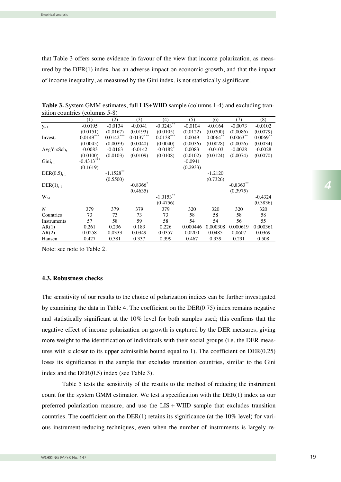that Table 3 offers some evidence in favour of the view that income polarization, as measured by the  $DER(1)$  index, has an adverse impact on economic growth, and that the impact of income inequality, as measured by the Gini index, is not statistically significant.

|                     | (1)          | (2)          | (3)                    | (4)                     | (5)       | (6)                    | (7)          | (8)         |
|---------------------|--------------|--------------|------------------------|-------------------------|-----------|------------------------|--------------|-------------|
| $y_{t-1}$           | $-0.0195$    | $-0.0134$    | $-0.0041$              | $-0.0243$ **            | $-0.0104$ | $-0.0164$              | $-0.0073$    | $-0.0102$   |
|                     | (0.0151)     | (0.0167)     | (0.0193)               | (0.0105)                | (0.0122)  | (0.0200)               | (0.0086)     | (0.0079)    |
| Invest <sub>t</sub> | $0.0149***$  | $0.0142***$  | $0.0137***$            | $0.0138^{\ast\ast\ast}$ | 0.0049    | $0.0064$ <sup>**</sup> | $0.0063***$  | $0.0069***$ |
|                     | (0.0045)     | (0.0039)     | (0.0040)               | (0.0040)                | (0.0036)  | (0.0028)               | (0.0026)     | (0.0034)    |
| $AvgYrsSch_{t-1}$   | $-0.0083$    | $-0.0163$    | $-0.0142$              | $-0.0182$ <sup>*</sup>  | 0.0083    | $-0.0103$              | $-0.0028$    | $-0.0028$   |
|                     | (0.0100)     | (0.0103)     | (0.0109)               | (0.0108)                | (0.0102)  | (0.0124)               | (0.0074)     | (0.0070)    |
| $Gini_{t-1}$        | $-0.4313***$ |              |                        |                         | $-0.0941$ |                        |              |             |
|                     | (0.1619)     |              |                        |                         | (0.2933)  |                        |              |             |
| $DER(0.5)_{t-1}$    |              | $-1.1528***$ |                        |                         |           | $-1.2120$              |              |             |
|                     |              | (0.5500)     |                        |                         |           | (0.7326)               |              |             |
| $DER(1)_{t-1}$      |              |              | $-0.8366$ <sup>*</sup> |                         |           |                        | $-0.8363***$ |             |
|                     |              |              | (0.4635)               |                         |           |                        | (0.3975)     |             |
| $W_{t-1}$           |              |              |                        | $-1.0153***$            |           |                        |              | $-0.4324$   |
|                     |              |              |                        | (0.4756)                |           |                        |              | (0.3836)    |
| $\boldsymbol{N}$    | 379          | 379          | 379                    | 379                     | 320       | 320                    | 320          | 320         |
| Countries           | 73           | 73           | 73                     | 73                      | 58        | 58                     | 58           | 58          |
| Instruments         | 57           | 58           | 59                     | 58                      | 54        | 54                     | 56           | 55          |
| AR(1)               | 0.261        | 0.236        | 0.183                  | 0.226                   | 0.000446  | 0.000308               | 0.000619     | 0.000361    |
| AR(2)               | 0.0258       | 0.0333       | 0.0349                 | 0.0357                  | 0.0200    | 0.0485                 | 0.0607       | 0.0369      |
| Hansen              | 0.427        | 0.381        | 0.337                  | 0.399                   | 0.467     | 0.339                  | 0.291        | 0.508       |

Table 3. System GMM estimates, full LIS+WIID sample (columns 1-4) and excluding transition countries (columns 5-8)

Note: see note to Table 2.  $N_{\text{obs}}$  gee note to  $\text{Table 2}$ 

#### **4.3.** Robustness checks would be resulted as  $\alpha$ methods of dealing with instrument proliferation are applied. **4.3. Robustness checks**

ures with *α* closer to its upper admissible bound equal to 1). The coefficient on DER(0.25) the sensitivity of our results to the choice or polarization members can be further investigated by examining the trata in Table 4. The coefficient on the DEK(0.75) much femally hegative The sensitivity of our results to the choice of polarization indices can be further investigated by examining the data in Table 4. The coefficient on the  $DER(0.75)$  index remains negative and statistically significant at the 10% level for both samples used; this confirms that the negative effect of income polarization on growth is captured by the DER measures, giving more weight to the identification of individuals with their social groups (i.e. the DER measloses its significance in the sample that excludes transition countries, similar to the Gini index and the DER(0.5) index (see Table 3).

Table 5 tests the sensitivity of the results to the method of reducing the instrument count for the system GMM estimator. We test a specification with the DER(1) index as our preferred polarization measure, and use the LIS + WIID sample that excludes transition countries. The coefficient on the DER(1) retains its significance (at the 10% level) for various instrument-reducing techniques, even when the number of instruments is largely re*4*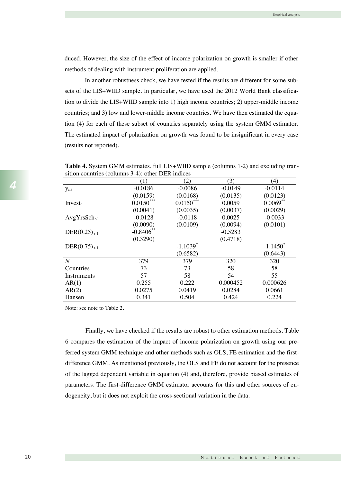duced. However, the size of the effect of income polarization on growth is smaller if other methods of dealing with instrument proliferation are applied. nictious of acamig with instrument profileration are applica.

In another robustness check, we have tested if the results are different for some subsets of the LIS+WIID sample. In particular, we have used the 2012 World Bank classification to divide the LIS+WIID sample into 1) high income countries; 2) upper-middle income countries; and 3) low and lower-middle income countries. We have then estimated the equation (4) for each of these subset of countries separately using the system GMM estimator. The estimated impact of polarization on growth was found to be insignificant in every case (results not reported).  $(0.658)$  (0.6582) (0.6582) (0.6582) (0.6582) (0.6582) Instruments, the contract of the contract of the contract of the contract of the contract of the contract of the contract of the contract of the contract of the contract of the contract of the contract of the contract of t Hansen of the product of production of the computation of the second control of the second intervention of the

sition countries (columns 3-4): other DER indices **Table 4.** System GMM estimates, full LIS+WIID sample (columns 1-2) and excluding tran-

|                          | $\left(1\right)$ | (2)                    | (3)       | (4)                    |
|--------------------------|------------------|------------------------|-----------|------------------------|
| $y_{t-1}$                | $-0.0186$        | $-0.0086$              | $-0.0149$ | $-0.0114$              |
|                          | (0.0159)         | (0.0168)               | (0.0135)  | (0.0123)               |
| Invest <sub>t</sub>      | $0.0150***$      | $0.0150***$            | 0.0059    | $0.0069$ **            |
|                          | (0.0041)         | (0.0035)               | (0.0037)  | (0.0029)               |
| $AvgYrsSch_{t-1}$        | $-0.0128$        | $-0.0118$              | 0.0025    | $-0.0033$              |
|                          | (0.0090)         | (0.0109)               | (0.0094)  | (0.0101)               |
| DER(0.25) <sub>t-1</sub> | $-0.8406**$      |                        | $-0.5283$ |                        |
|                          | (0.3290)         |                        | (0.4718)  |                        |
| DER(0.75) <sub>t-1</sub> |                  | $-1.1039$ <sup>*</sup> |           | $-1.1450$ <sup>*</sup> |
|                          |                  | (0.6582)               |           | (0.6443)               |
| $\boldsymbol{N}$         | 379              | 379                    | 320       | 320                    |
| Countries                | 73               | 73                     | 58        | 58                     |
| Instruments              | 57               | 58                     | 54        | 55                     |
| AR(1)                    | 0.255            | 0.222                  | 0.000452  | 0.000626               |
| AR(2)                    | 0.0275           | 0.0419                 | 0.0284    | 0.0661                 |
| Hansen                   | 0.341            | 0.504                  | 0.424     | 0.224                  |
|                          |                  |                        |           |                        |

Note: see note to Table 2.

Finally, we have checked if the results are robust to other estimation methods. Table bustness to the choice of instruments 6 compares the estimation of the impact of income polarization on growth using our preferred system GMM technique and other methods such as OLS, FE estimation and the firstinstruments instruments difference GMM. As mentioned previously, the OLS and FE do not account for the presence of the lagged dependent variable in equation (4) and, therefore, provide biased estimates of Interactions. The first difference CMM estimator accounts for this and other sources or parameters. The first-difference GMM estimator accounts for this and other sources of endogeneity, but it does not exploit the cross-sectional variation in the data.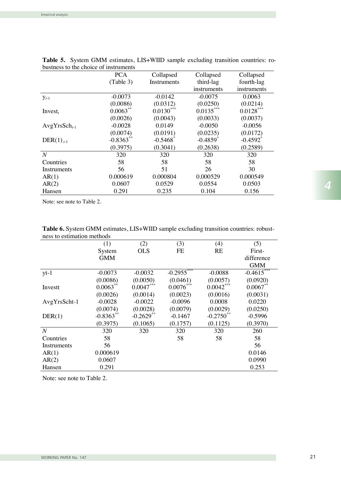|                     | <b>PCA</b>  | Collapsed              | Collapsed              | Collapsed              |
|---------------------|-------------|------------------------|------------------------|------------------------|
|                     | (Table 3)   | Instruments            | third-lag              | fourth-lag             |
|                     |             |                        | instruments            | instruments            |
| $y_{t-1}$           | $-0.0073$   | $-0.0142$              | $-0.0075$              | 0.0063                 |
|                     | (0.0086)    | (0.0312)               | (0.0250)               | (0.0214)               |
| Invest <sub>t</sub> | $0.0063***$ | $0.0130***$            | $0.0135***$            | $0.0128$ **            |
|                     | (0.0026)    | (0.0043)               | (0.0033)               | (0.0037)               |
| $AvgYrsSch_{t-1}$   | $-0.0028$   | 0.0149                 | $-0.0050$              | $-0.0056$              |
|                     | (0.0074)    | (0.0191)               | (0.0235)               | (0.0172)               |
| $DER(1)_{t-1}$      | $-0.8363**$ | $-0.5468$ <sup>*</sup> | $-0.4859$ <sup>*</sup> | $-0.4592$ <sup>*</sup> |
|                     | (0.3975)    | (0.3041)               | (0.2638)               | (0.2589)               |
| $\overline{N}$      | 320         | 320                    | 320                    | 320                    |
| Countries           | 58          | 58                     | 58                     | 58                     |
| Instruments         | 56          | 51                     | 26                     | 30                     |
| AR(1)               | 0.000619    | 0.000804               | 0.000529               | 0.000549               |
| AR(2)               | 0.0607      | 0.0529                 | 0.0554                 | 0.0503                 |
| Hansen              | 0.291       | 0.235                  | 0.104                  | 0.156                  |

|                                       |  | Table 5. System GMM estimates, LIS+WIID sample excluding transition countries: ro- |  |  |  |
|---------------------------------------|--|------------------------------------------------------------------------------------|--|--|--|
| bustness to the choice of instruments |  |                                                                                    |  |  |  |

Note: see note to Table 2.

Table 6. System GMM estimates, LIS+WIID sample excluding transition countries: robustness to estimation methods

| ness to estimation methods |             |              |              |              |              |
|----------------------------|-------------|--------------|--------------|--------------|--------------|
|                            | (1)         | (2)          | (3)          | (4)          | (5)          |
|                            | System      | <b>OLS</b>   | FE           | <b>RE</b>    | First-       |
|                            | <b>GMM</b>  |              |              |              | difference   |
|                            |             |              |              |              | <b>GMM</b>   |
| $yt-1$                     | $-0.0073$   | $-0.0032$    | $-0.2955***$ | $-0.0088$    | $-0.4615***$ |
|                            | (0.0086)    | (0.0050)     | (0.0461)     | (0.0057)     | (0.0920)     |
| Investt                    | $0.0063***$ | $0.0047***$  | $0.0076***$  | $0.0042$ **  | $0.0067$ **  |
|                            | (0.0026)    | (0.0014)     | (0.0023)     | (0.0016)     | (0.0031)     |
| AvgYrsScht-1               | $-0.0028$   | $-0.0022$    | $-0.0096$    | 0.0008       | 0.0220       |
|                            | (0.0074)    | (0.0028)     | (0.0079)     | (0.0029)     | (0.0250)     |
| DER(1)                     | $-0.8363**$ | $-0.2629$ ** | $-0.1467$    | $-0.2750$ ** | $-0.5996$    |
|                            | (0.3975)    | (0.1065)     | (0.1757)     | (0.1125)     | (0.3970)     |
| $\boldsymbol{N}$           | 320         | 320          | 320          | 320          | 260          |
| Countries                  | 58          |              | 58           | 58           | 58           |
| Instruments                | 56          |              |              |              | 56           |
| AR(1)                      | 0.000619    |              |              |              | 0.0146       |
| AR(2)                      | 0.0607      |              |              |              | 0.0990       |
| Hansen                     | 0.291       |              |              |              | 0.253        |

Note: see note to Table 2.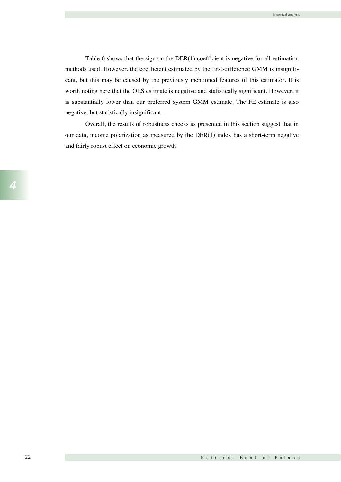Table 6 shows that the sign on the DER(1) coefficient is negative for all estimation methods used. However, the coefficient estimated by the first-difference GMM is insignificant, but this may be caused by the previously mentioned features of this estimator. It is worth noting here that the OLS estimate is negative and statistically significant. However, it is substantially lower than our preferred system GMM estimate. The FE estimate is also negative, but statistically insignificant.  $I_{\text{S}}$  is the first state of  $I_{\text{S}}$  from  $I_{\text{S}}$  the state of  $I_{\text{S}}$  from  $I_{\text{S}}$  from  $I_{\text{S}}$   $I_{\text{S}}$  from  $I_{\text{S}}$  from  $I_{\text{S}}$  from  $I_{\text{S}}$  from  $I_{\text{S}}$   $I_{\text{S}}$ Hotel houng here that the OED continues to hegative and budiblically significantly from the

our data, income polarization as measured by the DER(1) index has a short-term negative ness to estimation methods and fairly robust effect on economic growth. Overall, the results of robustness checks as presented in this section suggest that in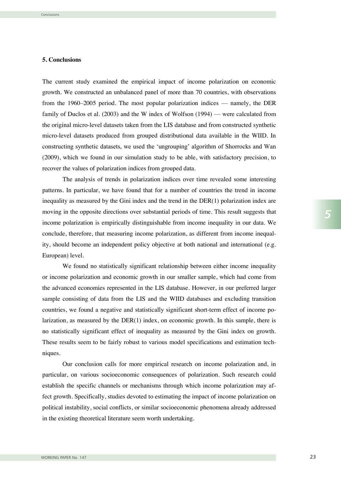#### **5. Conclusions**

The current study examined the empirical impact of income polarization on economic growth. We constructed an unbalanced panel of more than 70 countries, with observations from the 1960–2005 period. The most popular polarization indices — namely, the DER family of Duclos et al. (2003) and the W index of Wolfson (1994) — were calculated from the original micro-level datasets taken from the LIS database and from constructed synthetic micro-level datasets produced from grouped distributional data available in the WIID. In constructing synthetic datasets, we used the 'ungrouping' algorithm of Shorrocks and Wan (2009), which we found in our simulation study to be able, with satisfactory precision, to recover the values of polarization indices from grouped data.

The analysis of trends in polarization indices over time revealed some interesting patterns. In particular, we have found that for a number of countries the trend in income inequality as measured by the Gini index and the trend in the DER(1) polarization index are moving in the opposite directions over substantial periods of time. This result suggests that income polarization is empirically distinguishable from income inequality in our data. We conclude, therefore, that measuring income polarization, as different from income inequality, should become an independent policy objective at both national and international (e.g. European) level.

We found no statistically significant relationship between either income inequality or income polarization and economic growth in our smaller sample, which had come from the advanced economies represented in the LIS database. However, in our preferred larger sample consisting of data from the LIS and the WIID databases and excluding transition countries, we found a negative and statistically significant short-term effect of income polarization, as measured by the DER(1) index, on economic growth. In this sample, there is no statistically significant effect of inequality as measured by the Gini index on growth. These results seem to be fairly robust to various model specifications and estimation techniques.

Our conclusion calls for more empirical research on income polarization and, in particular, on various socioeconomic consequences of polarization. Such research could establish the specific channels or mechanisms through which income polarization may affect growth. Specifically, studies devoted to estimating the impact of income polarization on political instability, social conflicts, or similar socioeconomic phenomena already addressed in the existing theoretical literature seem worth undertaking.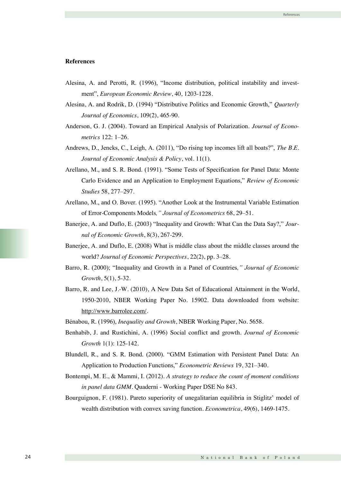#### **References**

- Alesina, A. and Perotti, R. (1996), "Income distribution, political instability and investment", *European Economic Review*, 40, 1203-1228.
- Alesina, A. and Rodrik, D. (1994) "Distributive Politics and Economic Growth," *Quarterly Journal of Economics*, 109(2), 465-90.
- Anderson, G. J. (2004). Toward an Empirical Analysis of Polarization. *Journal of Econometrics* 122: 1–26.
- Andrews, D., Jencks, C., Leigh, A. (2011), "Do rising top incomes lift all boats?", *The B.E. Journal of Economic Analysis & Policy*, vol. 11(1).
- Arellano, M., and S. R. Bond. (1991). "Some Tests of Specification for Panel Data: Monte Carlo Evidence and an Application to Employment Equations," *Review of Economic Studies* 58, 277–297.
- Arellano, M., and O. Bover. (1995). "Another Look at the Instrumental Variable Estimation of Error-Components Models*," Journal of Econometrics* 68, 29–51.
- Banerjee, A. and Duflo, E. (2003) "Inequality and Growth: What Can the Data Say?," *Journal of Economic Growth*, 8(3), 267-299.
- Banerjee, A. and Duflo, E. (2008) What is middle class about the middle classes around the world? *Journal of Economic Perspectives*, 22(2), pp. 3–28.
- Barro, R. (2000); "Inequality and Growth in a Panel of Countries*," Journal of Economic Growth*, 5(1), 5-32.
- Barro, R. and Lee, J.-W. (2010), A New Data Set of Educational Attainment in the World, 1950-2010, NBER Working Paper No. 15902. Data downloaded from website: http://www.barrolee.com/.
- Bénabou, R. (1996), *Inequality and Growth*, NBER Working Paper, No. 5658.
- Benhabib, J. and Rustichini, A. (1996) Social conflict and growth. *Journal of Economic Growth* 1(1): 125-142.
- Blundell, R., and S. R. Bond. (2000). "GMM Estimation with Persistent Panel Data: An Application to Production Functions," *Econometric Reviews* 19, 321–340.
- Bontempi, M. E., & Mammi, I. (2012). *A strategy to reduce the count of moment conditions in panel data GMM*. Quaderni - Working Paper DSE No 843.
- Bourguignon, F. (1981). Pareto superiority of unegalitarian equilibria in Stiglitz' model of wealth distribution with convex saving function. *Econometrica*, 49(6), 1469-1475.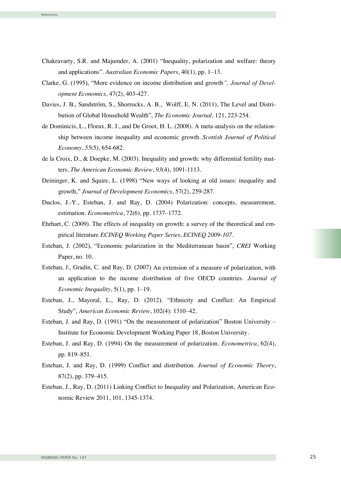- Chakravarty, S.R. and Majumder, A. (2001) "Inequality, polarization and welfare: theory and applications". *Australian Economic Papers*, 40(1), pp. 1–13.
- Clarke, G. (1995), "More evidence on income distribution and growth*", Journal of Development Economics*, 47(2), 403-427.
- Davies, J. B., Sandström, S., Shorrocks, A. B., Wolff, E. N. (2011), The Level and Distribution of Global Household Wealth", *The Economic Journal,* 121, 223-254.
- de Dominicis, L., Florax, R. J., and De Groot, H. L. (2008). A meta-analysis on the relationship between income inequality and economic growth. *Scottish Journal of Political Economy*, *55*(5), 654-682.
- de la Croix, D., & Doepke, M. (2003). Inequality and growth: why differential fertility matters. *The American Economic Review*, *93*(4), 1091-1113.
- Deininger, K. and Squire, L. (1998) "New ways of looking at old issues: inequality and growth," *Journal of Development Economics*, 57(2), 259-287.
- Duclos, J.-Y., Esteban, J. and Ray, D. (2004) Polarization: concepts, measurement, estimation. *Econometrica*, 72(6), pp. 1737–1772.
- Ehrhart, C. (2009). The effects of inequality on growth: a survey of the theoretical and empirical literature *ECINEQ Working Paper Series, ECINEQ 2009-107*.
- Esteban, J. (2002), "Economic polarization in the Mediterranean basin", *CREI* Working Paper, no. 10.
- Esteban, J., Gradín, C. and Ray, D. (2007) An extension of a measure of polarization, with an application to the income distribution of five OECD countries. *Journal of Economic Inequality*, 5(1), pp. 1–19.
- Esteban, J., Mayoral, L., Ray, D. (2012). "Ethnicity and Conflict: An Empirical Study", *American Economic Review*, 102(4): 1310–42.
- Esteban, J. and Ray, D. (1991) "On the measurement of polarization" Boston University Institute for Economic Development Working Paper 18, Boston University.
- Esteban, J. and Ray, D. (1994) On the measurement of polarization. *Econometrica*, 62(4), pp. 819–851.
- Esteban, J. and Ray, D. (1999) Conflict and distribution. *Journal of Economic Theory*, 87(2), pp. 379–415.
- Esteban, J., Ray, D. (2011) Linking Conflict to Inequality and Polarization, American Economic Review 2011, 101, 1345-1374.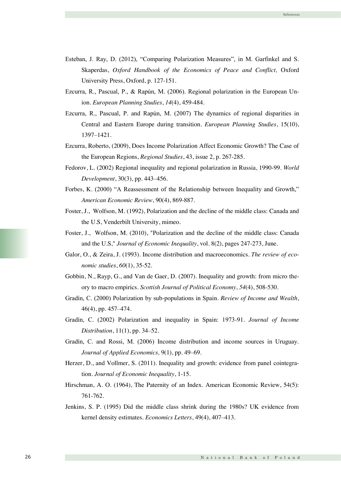- Esteban, J. Ray, D. (2012), "Comparing Polarization Measures", in M. Garfinkel and S. Skaperdas, *Oxford Handbook of the Economics of Peace and Conflict,* Oxford University Press, Oxford, p. 127-151.
- Ezcurra, R., Pascual, P., & Rapún, M. (2006). Regional polarization in the European Union. *European Planning Studies*, *14*(4), 459-484.
- Ezcurra, R., Pascual, P. and Rapún, M. (2007) The dynamics of regional disparities in Central and Eastern Europe during transition. *European Planning Studies*, 15(10), 1397–1421.
- Ezcurra, Roberto, (2009), Does Income Polarization Affect Economic Growth? The Case of the European Regions, *Regional Studies*, 43, issue 2, p. 267-285.
- Fedorov, L. (2002) Regional inequality and regional polarization in Russia, 1990-99. *World Development*, 30(3), pp. 443–456.
- Forbes, K. (2000) "A Reassessment of the Relationship between Inequality and Growth," *American Economic Review*, 90(4), 869-887.
- Foster, J., Wolfson, M. (1992), Polarization and the decline of the middle class: Canada and the U.S, Venderbilt University, mimeo.
- Foster, J., Wolfson, M. (2010), "Polarization and the decline of the middle class: Canada and the U.S," *Journal of Economic Inequality*, vol. 8(2), pages 247-273, June.
- Galor, O., & Zeira, J. (1993). Income distribution and macroeconomics. *The review of economic studies*, *60*(1), 35-52.
- Gobbin, N., Rayp, G., and Van de Gaer, D. (2007). Inequality and growth: from micro theory to macro empirics. *Scottish Journal of Political Economy*, *54*(4), 508-530.
- Gradín, C. (2000) Polarization by sub-populations in Spain. *Review of Income and Wealth*, 46(4), pp. 457–474.
- Gradín, C. (2002) Polarization and inequality in Spain: 1973-91. *Journal of Income Distribution*, 11(1), pp. 34–52.
- Gradín, C. and Rossi, M. (2006) Income distribution and income sources in Uruguay. *Journal of Applied Economics,* 9(1), pp. 49–69.
- Herzer, D., and Vollmer, S. (2011). Inequality and growth: evidence from panel cointegration. *Journal of Economic Inequality*, 1-15.
- Hirschman, A. O. (1964), The Paternity of an Index. American Economic Review, 54(5): 761-762.
- Jenkins, S. P. (1995) Did the middle class shrink during the 1980s? UK evidence from kernel density estimates. *Economics Letters*, 49(4), 407–413.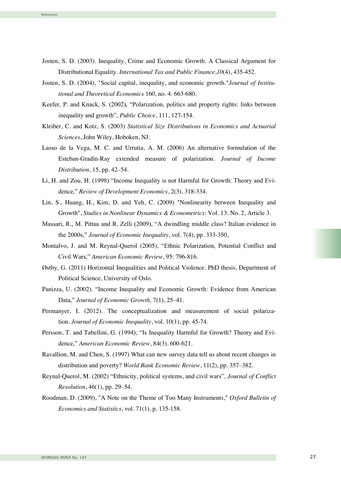- Josten, S. D. (2003). Inequality, Crime and Economic Growth. A Classical Argument for Distributional Equality. *International Tax and Public Finance*,*10*(4), 435-452.
- Josten, S. D. (2004), "Social capital, inequality, and economic growth."*Journal of Institutional and Theoretical Economics* 160, no. 4: 663-680.
- Keefer, P. and Knack, S. (2002), "Polarization, politics and property rights: links between inequality and growth", *Public Choice*, 111, 127-154.
- Kleiber, C. and Kotz, S. (2003) *Statistical Size Distributions in Economics and Actuarial Sciences*, John Wiley, Hoboken, NJ.
- Lasso de la Vega, M. C. and Urrutia, A. M. (2006) An alternative formulation of the Esteban-Gradín-Ray extended measure of polarization. *Journal of Income Distribution*, 15, pp. 42–54.
- Li, H. and Zou, H. (1998) "Income Inequality is not Harmful for Growth: Theory and Evidence," *Review of Development Economics*, 2(3), 318-334.
- Lin, S., Huang, H., Kim, D. and Yeh, C. (2009) "Nonlinearity between Inequality and Growth", *Studies in Nonlinear Dynamics & Econometrics*: Vol. 13: No. 2, Article 3.
- Massari, R., M. Pittau and R. Zelli (2009), "A dwindling middle class? Italian evidence in the 2000s," *Journal of Economic Inequality*, vol. 7(4), pp. 333-350,
- Montalvo, J. and M. Reynal-Querol (2005), "Ethnic Polarization, Potential Conflict and Civil Wars," *American Economic Review*, 95: 796-816.
- Østby, G. (2011) Horizontal Inequalities and Political Violence. PhD thesis, Department of Political Science, University of Oslo.
- Panizza, U. (2002). "Income Inequality and Economic Growth: Evidence from American Data," *Journal of Economic Growth*, 7(1), 25–41.
- Permanyer, I. (2012). The conceptualization and measurement of social polarization. *Journal of Economic Inequality*, vol. 10(1), pp. 45-74.
- Persson, T. and Tabellini, G. (1994); "Is Inequality Harmful for Growth? Theory and Evidence," *American Economic Review*, 84(3), 600-621.
- Ravallion, M. and Chen, S. (1997) What can new survey data tell us about recent changes in distribution and poverty? *World Bank Economic Review*, 11(2), pp. 357–382.
- Reynal-Querol, M. (2002) "Ethnicity, political systems, and civil wars"*, Journal of Conflict Resolution*, 46(1), pp. 29–54.
- Roodman, D. (2009), "A Note on the Theme of Too Many Instruments," *Oxford Bulletin of Economics and Statistics*, vol. 71(1), p. 135-158.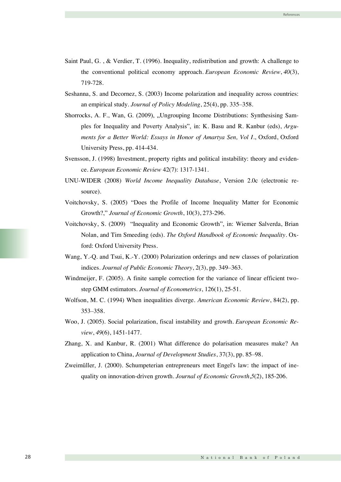- Saint Paul, G. , & Verdier, T. (1996). Inequality, redistribution and growth: A challenge to the conventional political economy approach. *European Economic Review*, *40*(3), 719-728.
- Seshanna, S. and Decornez, S. (2003) Income polarization and inequality across countries: an empirical study. *Journal of Policy Modeling*, 25(4), pp. 335–358.
- Shorrocks, A. F., Wan, G. (2009), "Ungrouping Income Distributions: Synthesising Samples for Inequality and Poverty Analysis", in: K. Basu and R. Kanbur (eds), *Arguments for a Better World: Essays in Honor of Amartya Sen, Vol I*., Oxford, Oxford University Press, pp. 414-434.
- Svensson, J. (1998) Investment, property rights and political instability: theory and evidence. *European Economic Review* 42(7): 1317-1341.
- UNU-WIDER (2008) *World Income Inequality Database*, Version 2.0c (electronic resource).
- Voitchovsky, S. (2005) "Does the Profile of Income Inequality Matter for Economic Growth?," *Journal of Economic Growth*, 10(3), 273-296.
- Voitchovsky, S. (2009) "Inequality and Economic Growth", in: Wiemer Salverda, Brian Nolan, and Tim Smeeding (eds). *The Oxford Handbook of Economic Inequality*. Oxford: Oxford University Press.
- Wang, Y.-Q. and Tsui, K.-Y. (2000) Polarization orderings and new classes of polarization indices. *Journal of Public Economic Theory*, 2(3), pp. 349–363.
- Windmeijer, F. (2005). A finite sample correction for the variance of linear efficient twostep GMM estimators. *Journal of Econometrics*, 126(1), 25-51.
- Wolfson, M. C. (1994) When inequalities diverge. *American Economic Review*, 84(2), pp. 353–358.
- Woo, J. (2005). Social polarization, fiscal instability and growth. *European Economic Review*, *49*(6), 1451-1477.
- Zhang, X. and Kanbur, R. (2001) What difference do polarisation measures make? An application to China, *Journal of Development Studies*, 37(3), pp. 85–98.
- Zweimüller, J. (2000). Schumpeterian entrepreneurs meet Engel's law: the impact of inequality on innovation-driven growth. *Journal of Economic Growth*,*5*(2), 185-206.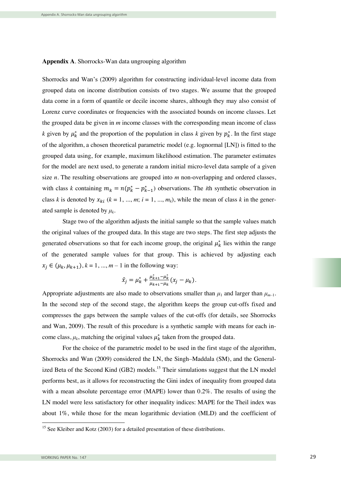**Appendix A**. Shorrocks-Wan data ungrouping algorithm

Shorrocks and Wan's (2009) algorithm for constructing individual-level income data from grouped data on income distribution consists of two stages. We assume that the grouped data come in a form of quantile or decile income shares, although they may also consist of Lorenz curve coordinates or frequencies with the associated bounds on income classes. Let the grouped data be given in *m* income classes with the corresponding mean income of class k given by  $\mu_k^*$  and the proportion of the population in class k given by  $p_k^*$ . In the first stage of the algorithm, a chosen theoretical parametric model (e.g. lognormal [LN]) is fitted to the grouped data using, for example, maximum likelihood estimation. The parameter estimates for the model are next used, to generate a random initial micro-level data sample of a given size *n*. The resulting observations are grouped into *m* non-overlapping and ordered classes, with class *k* containing  $m_k = n(p_k^* - p_{k-1}^*)$  observations. The *i*th synthetic observation in class *k* is denoted by  $x_{ki}$  ( $k = 1, ..., m$ ;  $i = 1, ..., m_k$ ), while the mean of class *k* in the generated sample is denoted by  $\mu_k$ .

Stage two of the algorithm adjusts the initial sample so that the sample values match the original values of the grouped data. In this stage are two steps. The first step adjusts the generated observations so that for each income group, the original  $\mu_k^*$  lies within the range of the generated sample values for that group. This is achieved by adjusting each  $x_i \in (\mu_k, \mu_{k+1}), k = 1, ..., m-1$  in the following way:

$$
\hat{x}_j = \mu_k^* + \frac{\mu_{k+1}^* - \mu_k^*}{\mu_{k+1} - \mu_k}(x_j - \mu_k).
$$

Appropriate adjustments are also made to observations smaller than  $\mu_1$  and larger than  $\mu_{m-1}$ . In the second step of the second stage, the algorithm keeps the group cut-offs fixed and compresses the gaps between the sample values of the cut-offs (for details, see Shorrocks and Wan, 2009). The result of this procedure is a synthetic sample with means for each income class,  $\mu_k$ , matching the original values  $\mu_k^*$  taken from the grouped data.

For the choice of the parametric model to be used in the first stage of the algorithm, Shorrocks and Wan (2009) considered the LN, the Singh–Maddala (SM), and the Generalized Beta of the Second Kind (GB2) models.<sup>15</sup> Their simulations suggest that the LN model performs best, as it allows for reconstructing the Gini index of inequality from grouped data with a mean absolute percentage error (MAPE) lower than 0.2%. The results of using the LN model were less satisfactory for other inequality indices: MAPE for the Theil index was about 1%, while those for the mean logarithmic deviation (MLD) and the coefficient of

<sup>&</sup>lt;sup>15</sup> See Kleiber and Kotz (2003) for a detailed presentation of these distributions.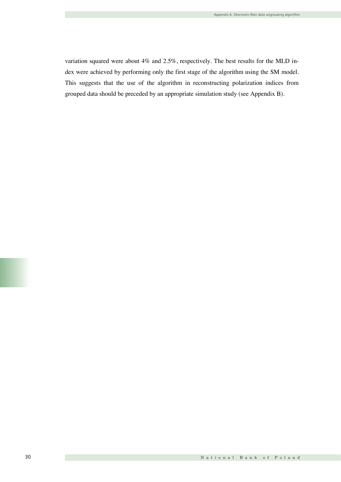variation squared were about 4% and 2.5%, respectively. The best results for the MLD index were achieved by performing only the first stage of the algorithm using the SM model. This suggests that the use of the algorithm in reconstructing polarization indices from grouped data should be preceded by an appropriate simulation study (see Appendix B).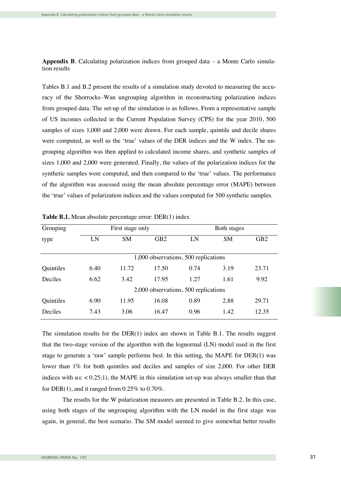**Appendix B**. Calculating polarization indices from grouped data – a Monte Carlo simulation results

Tables B.1 and B.2 present the results of a simulation study devoted to measuring the accuracy of the Shorrocks–Wan ungrouping algorithm in reconstructing polarization indices from grouped data. The set-up of the simulation is as follows. From a representative sample of US incomes collected in the Current Population Survey (CPS) for the year 2010, 500 samples of sizes 1,000 and 2,000 were drawn. For each sample, quintile and decile shares were computed, as well as the 'true' values of the DER indices and the W index. The ungrouping algorithm was then applied to calculated income shares, and synthetic samples of sizes 1,000 and 2,000 were generated. Finally, the values of the polarization indices for the synthetic samples were computed, and then compared to the 'true' values. The performance of the algorithm was assessed using the mean absolute percentage error (MAPE) between the 'true' values of polarization indices and the values computed for 500 synthetic samples.

| Grouping  |      | First stage only                     |       |                                      | Both stages |                 |  |  |  |
|-----------|------|--------------------------------------|-------|--------------------------------------|-------------|-----------------|--|--|--|
| type      | LN   | <b>SM</b><br>GB <sub>2</sub>         |       | LN                                   | <b>SM</b>   | GB <sub>2</sub> |  |  |  |
|           |      | 1,000 observations, 500 replications |       |                                      |             |                 |  |  |  |
| Quintiles | 6.40 | 11.72                                | 17.50 | 0.74                                 | 3.19        | 23.71           |  |  |  |
| Deciles   | 6.62 | 3.42                                 | 17.95 | 1.27                                 | 1.61        | 9.92            |  |  |  |
|           |      |                                      |       | 2,000 observations, 500 replications |             |                 |  |  |  |
| Quintiles | 6.90 | 11.95                                | 16.08 | 0.89                                 | 2.88        | 29.71           |  |  |  |
| Deciles   | 7.43 | 3.06                                 | 16.47 | 0.96                                 | 1.42        | 12.35           |  |  |  |

**Table B.1.** Mean absolute percentage error: DER(1) index

The simulation results for the DER(1) index are shown in Table B.1. The results suggest that the two-stage version of the algorithm with the lognormal (LN) model used in the first stage to generate a 'raw' sample performs best. In this setting, the MAPE for DER(1) was lower than 1% for both quintiles and deciles and samples of size 2,000. For other DER indices with  $\alpha \in \langle 0.25;1 \rangle$ , the MAPE in this simulation set-up was always smaller than that for DER(1), and it ranged from  $0.25\%$  to  $0.70\%$ .

The results for the W polarization measures are presented in Table B.2. In this case, using both stages of the ungrouping algorithm with the LN model in the first stage was again, in general, the best scenario. The SM model seemed to give somewhat better results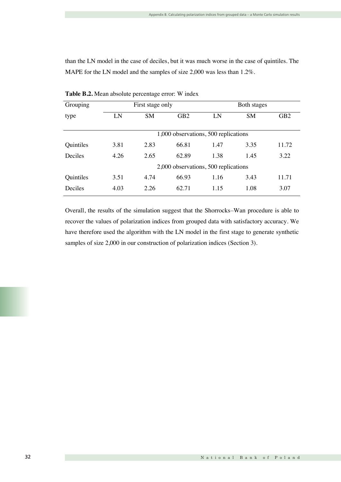than the LN model in the case of deciles, but it was much worse in the case of quintiles. The MAPE for the LN model and the samples of size 2,000 was less than 1.2%.

| Grouping  | First stage only |                                      |                                      | Both stages |           |                 |  |  |  |
|-----------|------------------|--------------------------------------|--------------------------------------|-------------|-----------|-----------------|--|--|--|
| type      | LN               | <b>SM</b>                            | GB <sub>2</sub>                      |             | <b>SM</b> | GB <sub>2</sub> |  |  |  |
|           |                  | 1,000 observations, 500 replications |                                      |             |           |                 |  |  |  |
| Quintiles | 3.81             | 2.83                                 | 66.81                                | 1.47        | 3.35      | 11.72           |  |  |  |
| Deciles   | 4.26             | 2.65                                 | 62.89                                | 1.38        | 1.45      | 3.22            |  |  |  |
|           |                  |                                      | 2,000 observations, 500 replications |             |           |                 |  |  |  |
| Quintiles | 3.51             | 4.74                                 | 66.93                                | 1.16        | 3.43      | 11.71           |  |  |  |
| Deciles   | 4.03             | 2.26                                 | 62.71                                | 1.15        | 1.08      | 3.07            |  |  |  |

**Table B.2.** Mean absolute percentage error: W index

Overall, the results of the simulation suggest that the Shorrocks–Wan procedure is able to recover the values of polarization indices from grouped data with satisfactory accuracy. We have therefore used the algorithm with the LN model in the first stage to generate synthetic samples of size 2,000 in our construction of polarization indices (Section 3).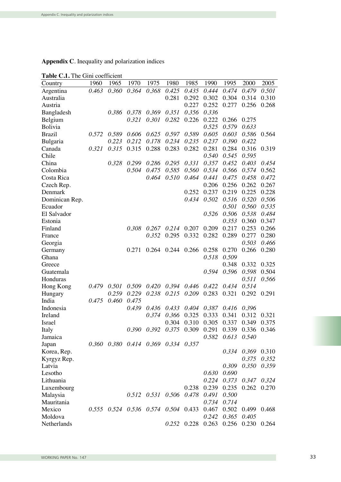| Table C.1. The Gini coefficient |       |                                     |       |                                                 |       |       |       |             |             |       |
|---------------------------------|-------|-------------------------------------|-------|-------------------------------------------------|-------|-------|-------|-------------|-------------|-------|
| Country                         | 1960  | 1965                                | 1970  | 1975                                            | 1980  | 1985  | 1990  | 1995        | 2000        | 2005  |
| Argentina                       | 0.463 | 0.360                               | 0.364 | 0.368                                           | 0.425 | 0.435 | 0.444 | 0.474       | 0.479       | 0.501 |
| Australia                       |       |                                     |       |                                                 | 0.281 | 0.292 | 0.302 | 0.304       | 0.314       | 0.310 |
| Austria                         |       |                                     |       |                                                 |       | 0.227 | 0.252 | 0.277       | 0.256       | 0.268 |
| Bangladesh                      |       | 0.386                               | 0.378 | 0.369                                           | 0.351 | 0.356 | 0.336 |             |             |       |
| Belgium                         |       |                                     | 0.321 | 0.301                                           | 0.282 | 0.226 | 0.222 | 0.266       | 0.275       |       |
| <b>Bolivia</b>                  |       |                                     |       |                                                 |       |       | 0.525 | 0.579       | 0.633       |       |
| <b>Brazil</b>                   | 0.572 | 0.589                               | 0.606 | 0.625                                           | 0.597 | 0.589 | 0.605 | 0.603       | 0.586       | 0.564 |
| Bulgaria                        |       | 0.223                               | 0.212 | 0.178                                           | 0.234 | 0.235 | 0.237 | 0.390       | 0.422       |       |
| Canada                          | 0.321 | 0.315                               | 0.315 | 0.288                                           | 0.283 | 0.282 | 0.281 | 0.284       | 0.316       | 0.319 |
| Chile                           |       |                                     |       |                                                 |       |       | 0.540 | 0.545       | 0.595       |       |
| China                           |       | 0.328                               | 0.299 | 0.286                                           | 0.295 | 0.331 | 0.357 | 0.452       | 0.403       | 0.454 |
| Colombia                        |       |                                     | 0.504 | 0.475                                           | 0.585 | 0.560 | 0.534 | 0.566       | 0.574       | 0.562 |
| Costa Rica                      |       |                                     |       | 0.464                                           | 0.510 | 0.464 | 0.441 | 0.475       | 0.458       | 0.472 |
| Czech Rep.                      |       |                                     |       |                                                 |       |       | 0.206 | 0.256       | 0.262       | 0.267 |
| Denmark                         |       |                                     |       |                                                 |       | 0.252 | 0.237 | 0.219       | 0.225       | 0.228 |
| Dominican Rep.                  |       |                                     |       |                                                 |       | 0.434 | 0.502 | 0.516       | 0.520       | 0.506 |
| Ecuador                         |       |                                     |       |                                                 |       |       |       | 0.501       | 0.560       | 0.535 |
| El Salvador                     |       |                                     |       |                                                 |       |       | 0.526 | 0.506       | 0.538       | 0.484 |
| Estonia                         |       |                                     |       |                                                 |       |       |       | 0.353       | 0.360       | 0.347 |
| Finland                         |       |                                     | 0.308 | 0.267                                           | 0.214 | 0.207 | 0.209 | 0.217       | 0.253       | 0.266 |
| France                          |       |                                     |       | 0.352                                           | 0.295 | 0.332 | 0.282 | 0.289       | 0.277       | 0.280 |
| Georgia                         |       |                                     |       |                                                 |       |       |       |             | 0.503       | 0.466 |
| Germany                         |       |                                     | 0.271 | 0.264                                           | 0.244 | 0.266 | 0.258 | 0.270       | 0.266       | 0.280 |
| Ghana                           |       |                                     |       |                                                 |       |       | 0.518 | 0.509       |             |       |
| Greece                          |       |                                     |       |                                                 |       |       |       | 0.348       | 0.332       | 0.325 |
| Guatemala                       |       |                                     |       |                                                 |       |       | 0.594 | 0.596       | 0.598       | 0.504 |
| Honduras                        |       |                                     |       |                                                 |       |       |       |             | 0.511       | 0.566 |
| Hong Kong                       | 0.479 | 0.501                               | 0.509 | 0.420                                           | 0.394 | 0.446 | 0.422 | 0.434       | 0.514       |       |
| Hungary                         |       | 0.259                               | 0.229 | 0.238                                           | 0.215 | 0.209 | 0.283 | 0.321       | 0.292       | 0.291 |
| India                           | 0.475 | 0.460                               | 0.475 |                                                 |       |       |       |             |             |       |
| Indonesia                       |       |                                     | 0.439 | 0.436                                           | 0.433 | 0.404 | 0.387 | 0.416       | 0.396       |       |
| Ireland                         |       |                                     |       | 0.374                                           | 0.366 | 0.325 | 0.333 | 0.341       | 0.312       | 0.321 |
|                                 |       |                                     |       |                                                 | 0.304 | 0.310 | 0.305 | 0.337       | 0.349       | 0.375 |
| <i>Israel</i>                   |       |                                     |       | 0.390 0.392 0.375 0.309 0.291 0.339 0.336 0.346 |       |       |       |             |             |       |
| Italy                           |       |                                     |       |                                                 |       |       | 0.582 |             | 0.540       |       |
| Jamaica                         |       |                                     |       |                                                 |       |       |       | 0.613       |             |       |
| Japan                           |       | 0.360 0.380 0.414 0.369 0.334 0.357 |       |                                                 |       |       |       |             |             |       |
| Korea, Rep.                     |       |                                     |       |                                                 |       |       |       | 0.334       | 0.369       | 0.310 |
| Kyrgyz Rep.                     |       |                                     |       |                                                 |       |       |       |             | 0.375       | 0.352 |
| Latvia                          |       |                                     |       |                                                 |       |       |       | 0.309       | 0.350       | 0.359 |
| Lesotho                         |       |                                     |       |                                                 |       |       | 0.630 | 0.690       |             |       |
| Lithuania                       |       |                                     |       |                                                 |       |       | 0.224 | 0.373       | 0.347 0.324 |       |
| Luxembourg                      |       |                                     |       |                                                 |       | 0.238 |       | 0.239 0.235 | 0.262 0.270 |       |
| Malaysia                        |       |                                     |       | 0.512 0.531 0.506                               |       | 0.478 | 0.491 | 0.500       |             |       |
| Mauritania                      |       |                                     |       |                                                 |       |       | 0.734 | 0.714       |             |       |
| Mexico                          |       | 0.555 0.524 0.536 0.574 0.504 0.433 |       |                                                 |       |       | 0.467 | 0.502       | 0.499 0.468 |       |
| Moldova                         |       |                                     |       |                                                 |       |       | 0.242 | 0.365       | 0.405       |       |
| Netherlands                     |       |                                     |       |                                                 | 0.252 | 0.228 | 0.263 | 0.256       | 0.230       | 0.264 |

## **Appendix C**. Inequality and polarization indices

WORKING PAPER No. 147 33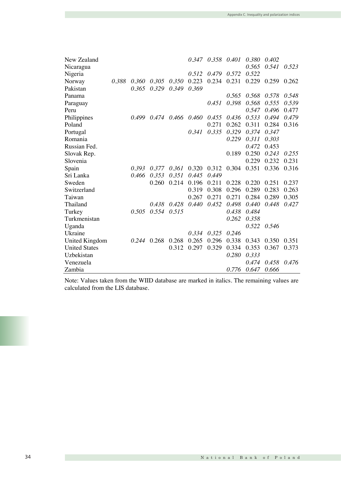| New Zealand          |       |       |               |       | 0.347 | 0.358 0.401 |       | 0.380 | 0.402 |       |
|----------------------|-------|-------|---------------|-------|-------|-------------|-------|-------|-------|-------|
| Nicaragua            |       |       |               |       |       |             |       | 0.565 | 0.541 | 0.523 |
| Nigeria              |       |       |               |       | 0.512 | 0.479       | 0.572 | 0.522 |       |       |
| Norway               | 0.388 | 0.360 | 0.305         | 0.350 | 0.223 | 0.234       | 0.231 | 0.229 | 0.259 | 0.262 |
| Pakistan             |       | 0.365 | 0.329         | 0.349 | 0.369 |             |       |       |       |       |
| Panama               |       |       |               |       |       |             | 0.565 | 0.568 | 0.578 | 0.548 |
| Paraguay             |       |       |               |       |       | 0.451       | 0.398 | 0.568 | 0.555 | 0.539 |
| Peru                 |       |       |               |       |       |             |       | 0.547 | 0.496 | 0.477 |
| Philippines          |       | 0.499 | 0.474         | 0.466 | 0.460 | 0.455       | 0.436 | 0.533 | 0.494 | 0.479 |
| Poland               |       |       |               |       |       | 0.271       | 0.262 | 0.311 | 0.284 | 0.316 |
| Portugal             |       |       |               |       | 0.341 | 0.335       | 0.329 | 0.374 | 0.347 |       |
| Romania              |       |       |               |       |       |             | 0.229 | 0.311 | 0.303 |       |
| Russian Fed.         |       |       |               |       |       |             |       | 0.472 | 0.453 |       |
| Slovak Rep.          |       |       |               |       |       |             | 0.189 | 0.250 | 0.243 | 0.255 |
| Slovenia             |       |       |               |       |       |             |       | 0.229 | 0.232 | 0.231 |
| Spain                |       | 0.393 | 0.377         | 0.361 | 0.320 | 0.312       | 0.304 | 0.351 | 0.336 | 0.316 |
| Sri Lanka            |       | 0.466 | 0.353         | 0.351 | 0.445 | 0.449       |       |       |       |       |
| Sweden               |       |       | 0.260         | 0.214 | 0.196 | 0.211       | 0.228 | 0.220 | 0.251 | 0.237 |
| Switzerland          |       |       |               |       | 0.319 | 0.308       | 0.296 | 0.289 | 0.283 | 0.263 |
| Taiwan               |       |       |               |       | 0.267 | 0.271       | 0.271 | 0.284 | 0.289 | 0.305 |
| Thailand             |       |       | 0.438         | 0.428 | 0.440 | 0.452       | 0.498 | 0.440 | 0.448 | 0.427 |
| Turkey               |       | 0.505 | 0.554         | 0.515 |       |             | 0.438 | 0.484 |       |       |
| Turkmenistan         |       |       |               |       |       |             | 0.262 | 0.358 |       |       |
| Uganda               |       |       |               |       |       |             |       | 0.522 | 0.546 |       |
| Ukraine              |       |       |               |       | 0.334 | 0.325       | 0.246 |       |       |       |
| United Kingdom       |       |       | $0.244$ 0.268 | 0.268 | 0.265 | 0.296       | 0.338 | 0.343 | 0.350 | 0.351 |
| <b>United States</b> |       |       |               | 0.312 | 0.297 | 0.329       | 0.334 | 0.353 | 0.367 | 0.373 |
| Uzbekistan           |       |       |               |       |       |             | 0.280 | 0.333 |       |       |
| Venezuela            |       |       |               |       |       |             |       | 0.474 | 0.458 | 0.476 |
| Zambia               |       |       |               |       |       |             | 0.776 | 0.647 | 0.666 |       |

Note: Values taken from the WIID database are marked in italics. The remaining values are calculated from the LIS database.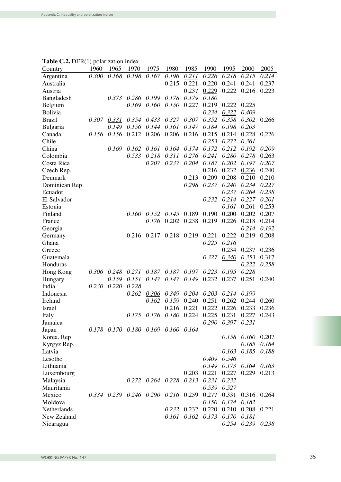| <b>Table C.2.</b> DER(T) potalization much |       |             |                                     |                         |             |                   |             |                   |                 |       |
|--------------------------------------------|-------|-------------|-------------------------------------|-------------------------|-------------|-------------------|-------------|-------------------|-----------------|-------|
| Country                                    | 1960  | 1965        | 1970                                | 1975                    | 1980        | 1985              | 1990        | 1995              | 2000            | 2005  |
| Argentina                                  | 0.300 | 0.168       | 0.198                               | 0.167                   | 0.196       | 0.211             | 0.226       | 0.218             | 0.215           | 0.214 |
| Australia                                  |       |             |                                     |                         | 0.215       | 0.221             | 0.220       | 0.241             | 0.241           | 0.237 |
| Austria                                    |       |             |                                     |                         |             | 0.237             | 0.229       | 0.222             | 0.216           | 0.223 |
| Bangladesh                                 |       | 0.373       | 0.286                               | 0.199                   | 0.178       | 0.179             | 0.180       |                   |                 |       |
| Belgium                                    |       |             | 0.169                               | 0.160                   | 0.150       | 0.227             | 0.219       | 0.222             | 0.225           |       |
| <b>Bolivia</b>                             |       |             |                                     |                         |             |                   | 0.234       | 0.322             | 0.409           |       |
| <b>Brazil</b>                              |       | 0.307 0.331 | 0.354                               | 0.433                   | 0.327 0.307 |                   | 0.352       | 0.358             | 0.302           | 0.266 |
| Bulgaria                                   |       | 0.149       | 0.156                               | 0.144                   | 0.161       | 0.147             | 0.184       | 0.198             | 0.203           |       |
| Canada                                     | 0.156 | 0.156       | 0.212                               | 0.206                   | 0.206       | 0.216             | 0.215       | 0.214             | 0.228           | 0.226 |
| Chile                                      |       |             |                                     |                         |             |                   | 0.253       | 0.272             | 0.361           |       |
| China                                      |       | 0.169       | 0.162                               | 0.161                   | 0.164       | 0.174             | 0.172       | 0.212             | 0.192           | 0.209 |
| Colombia                                   |       |             | 0.533                               | 0.218                   | 0.311       | 0.276             | 0.241       | 0.280             | 0.278           | 0.263 |
| Costa Rica                                 |       |             |                                     | 0.207                   | 0.237       | 0.204             | 0.187       | 0.202             | 0.197           | 0.207 |
| Czech Rep.                                 |       |             |                                     |                         |             |                   | 0.216       | 0.232             | 0.236           | 0.240 |
| Denmark                                    |       |             |                                     |                         |             | 0.213             | 0.209       | 0.208             | 0.210           | 0.210 |
| Dominican Rep.                             |       |             |                                     |                         |             | 0.298             | 0.237       | 0.240             | 0.234           | 0.227 |
| Ecuador                                    |       |             |                                     |                         |             |                   |             | 0.237             | 0.264           | 0.238 |
| El Salvador                                |       |             |                                     |                         |             |                   | 0.232       | 0.214             | 0.227           | 0.201 |
| Estonia                                    |       |             |                                     |                         |             |                   |             | 0.161             | 0.261           | 0.253 |
| Finland                                    |       |             | 0.160                               | 0.152                   | 0.145       | 0.189             | 0.190       | 0.200             | 0.202           | 0.207 |
| France                                     |       |             |                                     | 0.176                   | 0.202       | 0.238             | 0.219       | 0.226             | 0.218           | 0.214 |
| Georgia                                    |       |             |                                     |                         |             |                   |             |                   | 0.214           | 0.192 |
| Germany                                    |       |             | 0.216                               | 0.217                   | 0.218       | 0.219             | 0.221       | 0.222             | 0.219           | 0.208 |
| Ghana                                      |       |             |                                     |                         |             |                   | 0.225       | 0.216             |                 |       |
| Greece                                     |       |             |                                     |                         |             |                   |             | 0.234             | 0.237           | 0.236 |
| Guatemala                                  |       |             |                                     |                         |             |                   | 0.327       | 0.340             | 0.353           | 0.317 |
| Honduras                                   |       |             |                                     |                         |             |                   |             |                   | 0.222           | 0.258 |
| Hong Kong                                  | 0.306 | 0.248       | 0.271                               | 0.187                   | 0.187       | 0.197             | 0.223       | 0.195             | 0.228           |       |
| Hungary                                    |       | 0.159       | 0.151                               | 0.147                   | 0.147       | 0.149             | 0.232       | 0.237             | 0.251           | 0.240 |
| India                                      | 0.230 | 0.220       | 0.228                               |                         |             |                   |             |                   |                 |       |
| Indonesia                                  |       |             | 0.262                               | 0.306                   | 0.349       | 0.204             | 0.203       | 0.214             | 0.199           |       |
| Ireland                                    |       |             |                                     | 0.162                   | 0.159       | 0.240             | 0.251       | 0.262             | 0.244           | 0.260 |
| Israel                                     |       |             |                                     |                         | 0.216       | 0.221             | 0.222       | 0.226             | 0.233           | 0.236 |
| Italy                                      |       |             | 0.175                               | 0.176                   | 0.180       | 0.224             | 0.225       | 0.231             | 0.227           | 0.243 |
| Jamaica                                    |       |             |                                     |                         |             |                   |             | 0.290 0.397 0.231 |                 |       |
| Japan                                      |       |             | 0.178 0.170 0.180 0.169 0.160 0.164 |                         |             |                   |             |                   |                 |       |
| Korea, Rep.                                |       |             |                                     |                         |             |                   |             | 0.158             | 0.160           | 0.207 |
| Kyrgyz Rep.                                |       |             |                                     |                         |             |                   |             |                   | 0.185           | 0.184 |
| Latvia                                     |       |             |                                     |                         |             |                   |             | 0.163             | 0.185           | 0.188 |
| Lesotho                                    |       |             |                                     |                         |             |                   | 0.409       | 0.546             |                 |       |
| Lithuania                                  |       |             |                                     |                         |             |                   |             | 0.149 0.173       | $0.164$ $0.163$ |       |
| Luxembourg                                 |       |             |                                     |                         |             | 0.203             | 0.221 0.227 |                   | 0.229 0.213     |       |
| Malaysia                                   |       |             |                                     | $0.272$ $0.264$ $0.228$ |             | 0.213 0.231 0.232 |             |                   |                 |       |
| Mauritania                                 |       |             |                                     |                         |             |                   | 0.539 0.527 |                   |                 |       |
| Mexico                                     |       |             | 0.334 0.239 0.246 0.290 0.216 0.259 |                         |             |                   | 0.277       | 0.331             | 0.316 0.264     |       |
| Moldova                                    |       |             |                                     |                         |             |                   | 0.150       | 0.174             | 0.182           |       |
| Netherlands                                |       |             |                                     |                         | 0.232       | 0.232             | 0.220       | 0.210             | 0.208           | 0.221 |
| New Zealand                                |       |             |                                     |                         | 0.161       | 0.162             | 0.173       | 0.170             | 0.181           |       |
| Nicaragua                                  |       |             |                                     |                         |             |                   |             | 0.254             | 0.239           | 0.238 |

**Table C.2.** DER(1) polarization index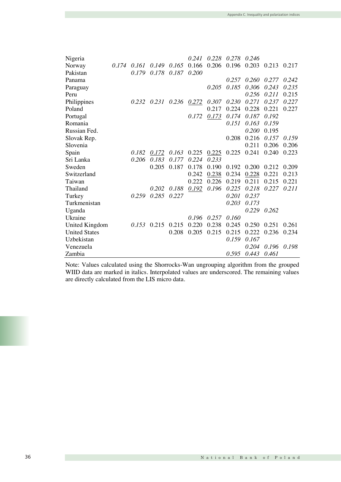| Nigeria               |             |               |       | 0.241 | 0.228 | 0.278 | 0.246 |             |       |
|-----------------------|-------------|---------------|-------|-------|-------|-------|-------|-------------|-------|
| Norway                | 0.174 0.161 | 0.149         | 0.165 | 0.166 | 0.206 | 0.196 | 0.203 | 0.213 0.217 |       |
| Pakistan              | 0.179       | 0.178         | 0.187 | 0.200 |       |       |       |             |       |
| Panama                |             |               |       |       |       | 0.257 | 0.260 | 0.277       | 0.242 |
| Paraguay              |             |               |       |       | 0.205 | 0.185 | 0.306 | 0.243       | 0.235 |
| Peru                  |             |               |       |       |       |       | 0.256 | 0.211       | 0.215 |
| Philippines           | 0.232       | 0.231         | 0.236 | 0.272 | 0.307 | 0.230 | 0.271 | 0.237       | 0.227 |
| Poland                |             |               |       |       | 0.217 | 0.224 | 0.228 | 0.221       | 0.227 |
| Portugal              |             |               |       | 0.172 | 0.173 | 0.174 | 0.187 | 0.192       |       |
| Romania               |             |               |       |       |       | 0.151 | 0.163 | 0.159       |       |
| Russian Fed.          |             |               |       |       |       |       | 0.200 | 0.195       |       |
| Slovak Rep.           |             |               |       |       |       | 0.208 | 0.216 | 0.157       | 0.159 |
| Slovenia              |             |               |       |       |       |       | 0.211 | 0.206       | 0.206 |
| Spain                 | 0.182       | 0.172         | 0.163 | 0.225 | 0.225 | 0.225 | 0.241 | 0.240       | 0.223 |
| Sri Lanka             | 0.206       | 0.183         | 0.177 | 0.224 | 0.233 |       |       |             |       |
| Sweden                |             | 0.205         | 0.187 | 0.178 | 0.190 | 0.192 | 0.200 | 0.212       | 0.209 |
| Switzerland           |             |               |       | 0.242 | 0.238 | 0.234 | 0.228 | 0.221       | 0.213 |
| Taiwan                |             |               |       | 0.222 | 0.226 | 0.219 | 0.211 | 0.215       | 0.221 |
| Thailand              |             | 0.202         | 0.188 | 0.192 | 0.196 | 0.225 | 0.218 | 0.227       | 0.211 |
| Turkey                | 0.259       | 0.285         | 0.227 |       |       | 0.201 | 0.237 |             |       |
| Turkmenistan          |             |               |       |       |       | 0.203 | 0.173 |             |       |
| Uganda                |             |               |       |       |       |       | 0.229 | 0.262       |       |
| Ukraine               |             |               |       | 0.196 | 0.257 | 0.160 |       |             |       |
| <b>United Kingdom</b> |             | $0.153$ 0.215 | 0.215 | 0.220 | 0.238 | 0.245 | 0.250 | 0.251       | 0.261 |
| <b>United States</b>  |             |               | 0.208 | 0.205 | 0.215 | 0.215 | 0.222 | 0.236       | 0.234 |
| Uzbekistan            |             |               |       |       |       | 0.159 | 0.167 |             |       |
| Venezuela             |             |               |       |       |       |       | 0.204 | 0.196       | 0.198 |
| Zambia                |             |               |       |       |       | 0.595 | 0.443 | 0.461       |       |

Note: Values calculated using the Shorrocks-Wan ungrouping algorithm from the grouped WIID data are marked in italics. Interpolated values are underscored. The remaining values are directly calculated from the LIS micro data.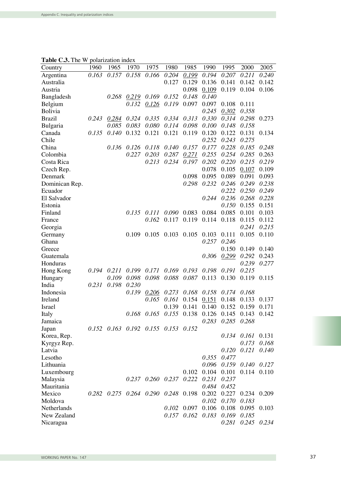| <b>Lable C.D.</b> The W polarization muex |       |                                     |       |               |             |                                     |                         |                   |                                 |       |
|-------------------------------------------|-------|-------------------------------------|-------|---------------|-------------|-------------------------------------|-------------------------|-------------------|---------------------------------|-------|
| Country                                   | 1960  | 1965                                | 1970  | 1975          | 1980        | 1985                                | 1990                    | 1995              | 2000                            | 2005  |
| Argentina                                 | 0.163 | 0.157                               | 0.158 | 0.166         | 0.204       | 0.199                               | 0.194                   | 0.207             | 0.211                           | 0.240 |
| Australia                                 |       |                                     |       |               | 0.127       | 0.129                               | 0.136                   | 0.141             | 0.142                           | 0.142 |
| Austria                                   |       |                                     |       |               |             | 0.098                               | 0.109                   | 0.119             | 0.104                           | 0.106 |
| Bangladesh                                |       | 0.268                               | 0.219 | 0.169         | 0.152       | 0.148                               | 0.140                   |                   |                                 |       |
| Belgium                                   |       |                                     | 0.132 | 0.126         | 0.119       | 0.097                               | 0.097                   | 0.108             | 0.111                           |       |
| Bolivia                                   |       |                                     |       |               |             |                                     | 0.245                   | 0.302             | 0.358                           |       |
| <b>Brazil</b>                             | 0.243 | 0.284                               | 0.324 | 0.335         | 0.334 0.313 |                                     | 0.330                   | 0.314             | 0.298                           | 0.273 |
| Bulgaria                                  |       | 0.085                               | 0.083 | 0.080         | 0.114       | 0.098                               | 0.100                   | 0.148             | 0.158                           |       |
| Canada                                    | 0.135 | 0.140                               | 0.132 | 0.121         | 0.121       | 0.119                               | 0.120                   | 0.122             | 0.131                           | 0.134 |
| Chile                                     |       |                                     |       |               |             |                                     | 0.252                   | 0.243             | 0.275                           |       |
| China                                     |       | 0.136                               | 0.126 | 0.118         | 0.140       | 0.157                               | 0.177                   | 0.228             | 0.185                           | 0.248 |
| Colombia                                  |       |                                     | 0.227 | 0.203         | 0.287       | 0.271                               | 0.255                   | 0.254             | 0.285                           | 0.263 |
| Costa Rica                                |       |                                     |       | 0.213         | 0.234       | 0.197                               | 0.202                   | 0.220             | 0.215                           | 0.219 |
| Czech Rep.                                |       |                                     |       |               |             |                                     | 0.078                   | 0.105             | 0.107                           | 0.109 |
| Denmark                                   |       |                                     |       |               |             | 0.098                               | 0.095                   | 0.089             | 0.091                           | 0.093 |
| Dominican Rep.                            |       |                                     |       |               |             | 0.298                               | 0.232                   | 0.246             | 0.249                           | 0.238 |
| Ecuador                                   |       |                                     |       |               |             |                                     |                         | 0.222             | 0.250                           | 0.249 |
| El Salvador                               |       |                                     |       |               |             |                                     | 0.244                   | 0.236             | 0.268                           | 0.228 |
|                                           |       |                                     |       |               |             |                                     |                         | 0.150             |                                 |       |
| Estonia                                   |       |                                     |       |               |             |                                     |                         |                   | 0.155                           | 0.151 |
| Finland                                   |       |                                     | 0.135 | 0.111         | 0.090       | 0.083                               | 0.084                   | 0.085             | 0.101                           | 0.103 |
| France                                    |       |                                     |       | 0.162         | 0.117       | 0.119                               | 0.114                   | 0.118             | 0.115                           | 0.112 |
| Georgia                                   |       |                                     |       |               |             |                                     |                         |                   | 0.241                           | 0.215 |
| Germany                                   |       |                                     | 0.109 | 0.105         | 0.103       | 0.105                               | 0.103                   | 0.111             | 0.105                           | 0.110 |
| Ghana                                     |       |                                     |       |               |             |                                     | 0.257                   | 0.246             |                                 |       |
| Greece                                    |       |                                     |       |               |             |                                     |                         | 0.150             | 0.149                           | 0.140 |
| Guatemala                                 |       |                                     |       |               |             |                                     | 0.306                   | 0.299             | 0.292                           | 0.243 |
| Honduras                                  |       |                                     |       |               |             |                                     |                         |                   | 0.239                           | 0.277 |
| Hong Kong                                 | 0.194 | 0.211                               | 0.199 | 0.171         | 0.169       | 0.193                               | 0.198                   | 0.191             | 0.215                           |       |
| Hungary                                   |       | 0.109                               | 0.098 | 0.098         | 0.088       | 0.087                               | 0.113                   | 0.130             | 0.119                           | 0.115 |
| India                                     | 0.231 | 0.198                               | 0.230 |               |             |                                     |                         |                   |                                 |       |
| Indonesia                                 |       |                                     | 0.139 | $0.206$ 0.273 |             | 0.168                               | 0.158                   | 0.174             | 0.168                           |       |
| Ireland                                   |       |                                     |       | 0.165         | 0.161       | 0.154                               | 0.151                   | 0.148             | 0.133                           | 0.137 |
| <b>Israel</b>                             |       |                                     |       |               | 0.139       | 0.141                               | 0.140                   | 0.152             | 0.159                           | 0.171 |
| Italy                                     |       |                                     |       | 0.168 0.165   | 0.155       | 0.138                               | 0.126                   | 0.145             | 0.143                           | 0.142 |
| Jamaica                                   |       |                                     |       |               |             |                                     |                         | 0.283 0.285 0.268 |                                 |       |
| Japan                                     |       | 0.152 0.163 0.192 0.155 0.153 0.152 |       |               |             |                                     |                         |                   |                                 |       |
| Korea, Rep.                               |       |                                     |       |               |             |                                     |                         |                   | $0.134$ $0.161$                 | 0.131 |
| Kyrgyz Rep.                               |       |                                     |       |               |             |                                     |                         |                   | 0.173                           | 0.168 |
| Latvia                                    |       |                                     |       |               |             |                                     |                         | 0.120             | 0.121                           | 0.140 |
| Lesotho                                   |       |                                     |       |               |             |                                     | 0.355                   | 0.477             |                                 |       |
| Lithuania                                 |       |                                     |       |               |             |                                     |                         |                   | $0.096$ $0.159$ $0.140$ $0.127$ |       |
| Luxembourg                                |       |                                     |       |               |             |                                     | $0.102$ $0.104$ $0.101$ |                   | 0.114 0.110                     |       |
| Malaysia                                  |       |                                     |       |               |             | 0.237 0.260 0.237 0.222 0.231 0.237 |                         |                   |                                 |       |
| Mauritania                                |       |                                     |       |               |             |                                     | 0.484 0.452             |                   |                                 |       |
|                                           |       | 0.282 0.275 0.264 0.290 0.248 0.198 |       |               |             |                                     |                         |                   | 0.202 0.227 0.234 0.209         |       |
| Mexico                                    |       |                                     |       |               |             |                                     |                         |                   |                                 |       |
| Moldova                                   |       |                                     |       |               |             |                                     |                         | 0.102 0.170       | 0.183                           |       |
| Netherlands                               |       |                                     |       |               | 0.102       | 0.097                               | 0.106                   | 0.108             | 0.095                           | 0.103 |
| New Zealand                               |       |                                     |       |               |             | 0.157 0.162 0.183                   |                         | 0.169             | 0.185                           |       |
| Nicaragua                                 |       |                                     |       |               |             |                                     |                         | 0.281             | 0.245                           | 0.234 |

**Table C.3.** The W polarization index